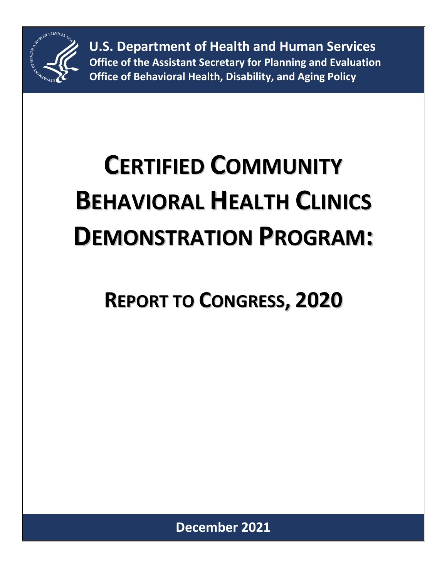

**U.S. Department of Health and Human Services Office of the Assistant Secretary for Planning and Evaluation Office of Behavioral Health, Disability, and Aging Policy**

# **CERTIFIED COMMUNITY BEHAVIORAL HEALTH CLINICS DEMONSTRATION PROGRAM:**

# **REPORT TO CONGRESS, 2020**

**December 2021**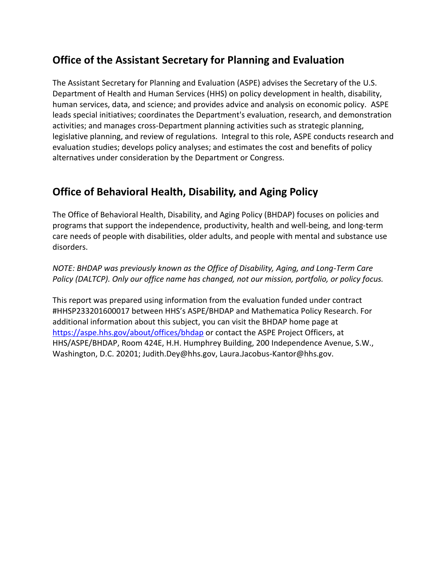#### **Office of the Assistant Secretary for Planning and Evaluation**

The Assistant Secretary for Planning and Evaluation (ASPE) advises the Secretary of the U.S. Department of Health and Human Services (HHS) on policy development in health, disability, human services, data, and science; and provides advice and analysis on economic policy. ASPE leads special initiatives; coordinates the Department's evaluation, research, and demonstration activities; and manages cross-Department planning activities such as strategic planning, legislative planning, and review of regulations. Integral to this role, ASPE conducts research and evaluation studies; develops policy analyses; and estimates the cost and benefits of policy alternatives under consideration by the Department or Congress.

#### **Office of Behavioral Health, Disability, and Aging Policy**

The Office of Behavioral Health, Disability, and Aging Policy (BHDAP) focuses on policies and programs that support the independence, productivity, health and well-being, and long-term care needs of people with disabilities, older adults, and people with mental and substance use disorders.

*NOTE: BHDAP was previously known as the Office of Disability, Aging, and Long-Term Care Policy (DALTCP). Only our office name has changed, not our mission, portfolio, or policy focus.*

This report was prepared using information from the evaluation funded under contract #HHSP233201600017 between HHS's ASPE/BHDAP and Mathematica Policy Research. For additional information about this subject, you can visit the BHDAP home page at <https://aspe.hhs.gov/about/offices/bhdap> or contact the ASPE Project Officers, at HHS/ASPE/BHDAP, Room 424E, H.H. Humphrey Building, 200 Independence Avenue, S.W., Washington, D.C. 20201; Judith.Dey@hhs.gov, Laura.Jacobus-Kantor@hhs.gov.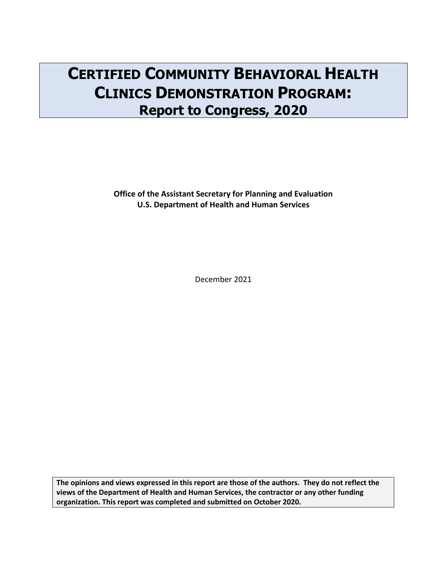# **CERTIFIED COMMUNITY BEHAVIORAL HEALTH CLINICS DEMONSTRATION PROGRAM: Report to Congress, 2020**

**Office of the Assistant Secretary for Planning and Evaluation U.S. Department of Health and Human Services**

December 2021

**The opinions and views expressed in this report are those of the authors. They do not reflect the views of the Department of Health and Human Services, the contractor or any other funding organization. This report was completed and submitted on October 2020.**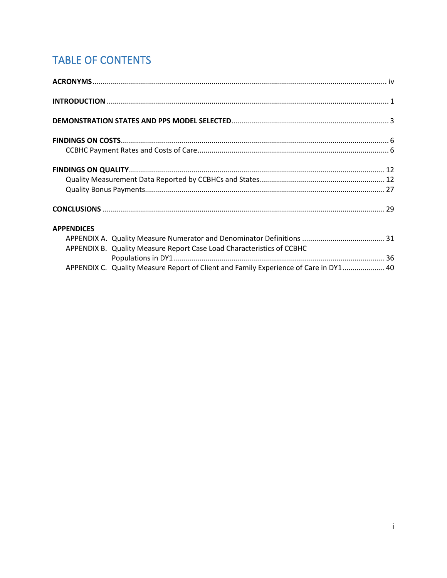# **TABLE OF CONTENTS**

| <b>APPENDICES</b>                                                                    |  |
|--------------------------------------------------------------------------------------|--|
|                                                                                      |  |
| APPENDIX B. Quality Measure Report Case Load Characteristics of CCBHC                |  |
|                                                                                      |  |
| APPENDIX C. Quality Measure Report of Client and Family Experience of Care in DY1 40 |  |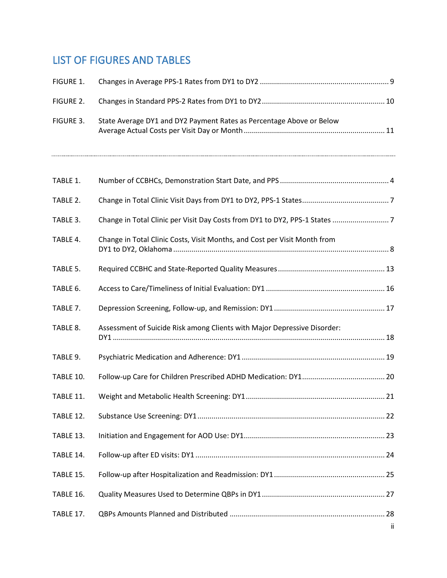#### LIST OF FIGURES AND TABLES

| FIGURE 1. |                                                                           |     |
|-----------|---------------------------------------------------------------------------|-----|
| FIGURE 2. |                                                                           |     |
| FIGURE 3. | State Average DY1 and DY2 Payment Rates as Percentage Above or Below      |     |
| TABLE 1.  |                                                                           |     |
| TABLE 2.  |                                                                           |     |
| TABLE 3.  |                                                                           |     |
| TABLE 4.  | Change in Total Clinic Costs, Visit Months, and Cost per Visit Month from |     |
| TABLE 5.  |                                                                           |     |
| TABLE 6.  |                                                                           |     |
| TABLE 7.  |                                                                           |     |
| TABLE 8.  | Assessment of Suicide Risk among Clients with Major Depressive Disorder:  |     |
| TABLE 9.  |                                                                           |     |
| TABLE 10. |                                                                           |     |
| TABLE 11. |                                                                           |     |
| TABLE 12. |                                                                           |     |
| TABLE 13. |                                                                           |     |
| TABLE 14. |                                                                           |     |
| TABLE 15. |                                                                           |     |
| TABLE 16. |                                                                           |     |
| TABLE 17. |                                                                           | ij. |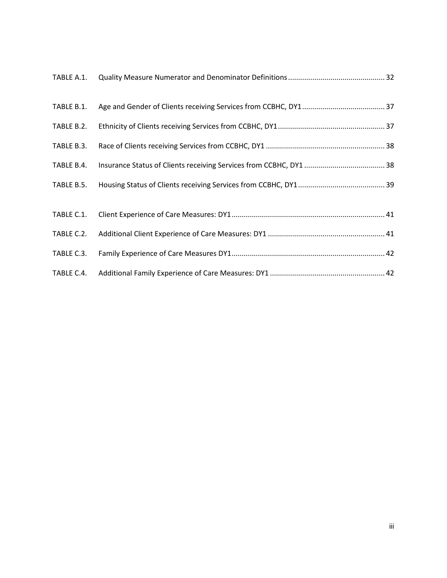| TABLE B.1. |  |
|------------|--|
| TABLE B.2. |  |
| TABLE B.3. |  |
| TABLE B.4. |  |
| TABLE B.5. |  |
| TABLE C.1. |  |
| TABLE C.2. |  |
| TABLE C.3. |  |
| TABLE C.4. |  |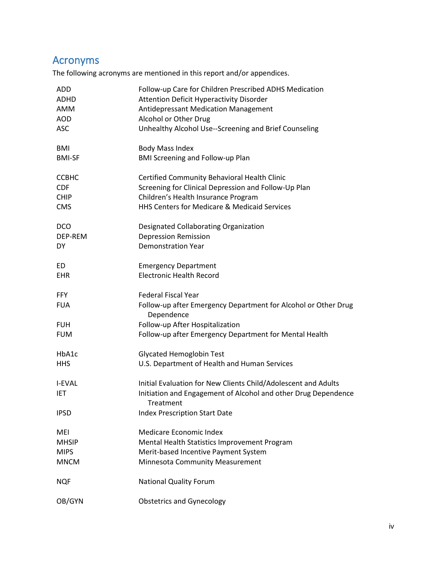## Acronyms

The following acronyms are mentioned in this report and/or appendices.

| <b>ADD</b>               | Follow-up Care for Children Prescribed ADHS Medication                                                                                        |
|--------------------------|-----------------------------------------------------------------------------------------------------------------------------------------------|
| ADHD                     | <b>Attention Deficit Hyperactivity Disorder</b>                                                                                               |
| AMM                      | Antidepressant Medication Management                                                                                                          |
| <b>AOD</b>               | Alcohol or Other Drug                                                                                                                         |
| <b>ASC</b>               | Unhealthy Alcohol Use--Screening and Brief Counseling                                                                                         |
| <b>BMI</b>               | <b>Body Mass Index</b>                                                                                                                        |
| <b>BMI-SF</b>            | <b>BMI Screening and Follow-up Plan</b>                                                                                                       |
| <b>CCBHC</b>             | Certified Community Behavioral Health Clinic                                                                                                  |
| <b>CDF</b>               | Screening for Clinical Depression and Follow-Up Plan                                                                                          |
| <b>CHIP</b>              | Children's Health Insurance Program                                                                                                           |
| <b>CMS</b>               | HHS Centers for Medicare & Medicaid Services                                                                                                  |
| <b>DCO</b>               | Designated Collaborating Organization                                                                                                         |
| DEP-REM                  | <b>Depression Remission</b>                                                                                                                   |
| DY.                      | <b>Demonstration Year</b>                                                                                                                     |
| ED.                      | <b>Emergency Department</b>                                                                                                                   |
| <b>EHR</b>               | <b>Electronic Health Record</b>                                                                                                               |
| <b>FFY</b><br><b>FUA</b> | <b>Federal Fiscal Year</b><br>Follow-up after Emergency Department for Alcohol or Other Drug<br>Dependence                                    |
| <b>FUH</b>               | Follow-up After Hospitalization                                                                                                               |
| <b>FUM</b>               | Follow-up after Emergency Department for Mental Health                                                                                        |
| HbA1c                    | <b>Glycated Hemoglobin Test</b>                                                                                                               |
| <b>HHS</b>               | U.S. Department of Health and Human Services                                                                                                  |
| I-FVAL<br>IET            | Initial Evaluation for New Clients Child/Adolescent and Adults<br>Initiation and Engagement of Alcohol and other Drug Dependence<br>Treatment |
| <b>IPSD</b>              | <b>Index Prescription Start Date</b>                                                                                                          |
| MEI                      | Medicare Economic Index                                                                                                                       |
| <b>MHSIP</b>             | Mental Health Statistics Improvement Program                                                                                                  |
| <b>MIPS</b>              | Merit-based Incentive Payment System                                                                                                          |
| <b>MNCM</b>              | <b>Minnesota Community Measurement</b>                                                                                                        |
| <b>NQF</b>               | <b>National Quality Forum</b>                                                                                                                 |
| OB/GYN                   | <b>Obstetrics and Gynecology</b>                                                                                                              |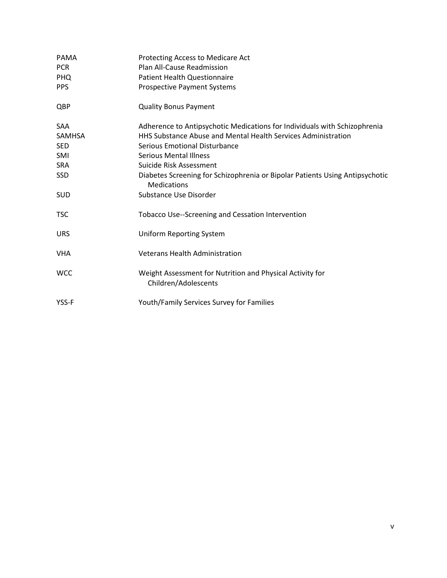| <b>PAMA</b><br><b>PCR</b><br><b>PHQ</b><br><b>PPS</b> | Protecting Access to Medicare Act<br>Plan All-Cause Readmission<br><b>Patient Health Questionnaire</b><br><b>Prospective Payment Systems</b> |
|-------------------------------------------------------|----------------------------------------------------------------------------------------------------------------------------------------------|
| QBP                                                   | <b>Quality Bonus Payment</b>                                                                                                                 |
| <b>SAA</b>                                            | Adherence to Antipsychotic Medications for Individuals with Schizophrenia                                                                    |
| <b>SAMHSA</b>                                         | <b>HHS Substance Abuse and Mental Health Services Administration</b>                                                                         |
| <b>SED</b>                                            | <b>Serious Emotional Disturbance</b>                                                                                                         |
| SMI                                                   | <b>Serious Mental Illness</b>                                                                                                                |
| <b>SRA</b>                                            | Suicide Risk Assessment                                                                                                                      |
| <b>SSD</b>                                            | Diabetes Screening for Schizophrenia or Bipolar Patients Using Antipsychotic<br><b>Medications</b>                                           |
| <b>SUD</b>                                            | Substance Use Disorder                                                                                                                       |
| <b>TSC</b>                                            | <b>Tobacco Use--Screening and Cessation Intervention</b>                                                                                     |
| <b>URS</b>                                            | <b>Uniform Reporting System</b>                                                                                                              |
| <b>VHA</b>                                            | <b>Veterans Health Administration</b>                                                                                                        |
| <b>WCC</b>                                            | Weight Assessment for Nutrition and Physical Activity for<br>Children/Adolescents                                                            |
| YSS-F                                                 | Youth/Family Services Survey for Families                                                                                                    |
|                                                       |                                                                                                                                              |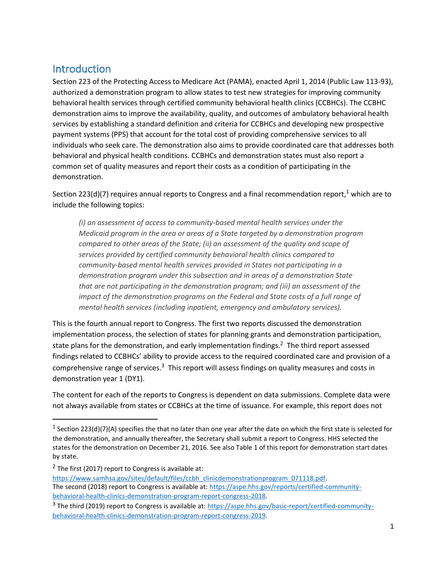#### Introduction

Section 223 of the Protecting Access to Medicare Act (PAMA), enacted April 1, 2014 (Public Law 113-93), authorized a demonstration program to allow states to test new strategies for improving community behavioral health services through certified community behavioral health clinics (CCBHCs). The CCBHC demonstration aims to improve the availability, quality, and outcomes of ambulatory behavioral health services by establishing a standard definition and criteria for CCBHCs and developing new prospective payment systems (PPS) that account for the total cost of providing comprehensive services to all individuals who seek care. The demonstration also aims to provide coordinated care that addresses both behavioral and physical health conditions. CCBHCs and demonstration states must also report a common set of quality measures and report their costs as a condition of participating in the demonstration.

Section 223(d)(7) requires annual reports to Congress and a final recommendation report,<sup>1</sup> which are to include the following topics:

*(i) an assessment of access to community-based mental health services under the Medicaid program in the area or areas of a State targeted by a demonstration program compared to other areas of the State; (ii) an assessment of the quality and scope of services provided by certified community behavioral health clinics compared to community-based mental health services provided in States not participating in a demonstration program under this subsection and in areas of a demonstration State that are not participating in the demonstration program; and (iii) an assessment of the impact of the demonstration programs on the Federal and State costs of a full range of mental health services (including inpatient, emergency and ambulatory services).* 

This is the fourth annual report to Congress. The first two reports discussed the demonstration implementation process, the selection of states for planning grants and demonstration participation, state plans for the demonstration, and early implementation findings. $<sup>2</sup>$  The third report assessed</sup> findings related to CCBHCs' ability to provide access to the required coordinated care and provision of a comprehensive range of services.<sup>3</sup> This report will assess findings on quality measures and costs in demonstration year 1 (DY1).

The content for each of the reports to Congress is dependent on data submissions. Complete data were not always available from states or CCBHCs at the time of issuance. For example, this report does not

<sup>&</sup>lt;sup>1</sup> Section 223(d)(7)(A) specifies the that no later than one year after the date on which the first state is selected for the demonstration, and annually thereafter, the Secretary shall submit a report to Congress. HHS selected the states for the demonstration on December 21, 2016. See also Table 1 of this report for demonstration start dates by state.

 $2$  The first (2017) report to Congress is available at:

[https://www.samhsa.gov/sites/default/files/ccbh\\_clinicdemonstrationprogram\\_071118.pdf.](https://www.samhsa.gov/sites/default/files/ccbh_clinicdemonstrationprogram_071118.pdf) The second (2018) report to Congress is available at: [https://aspe.hhs.gov/reports/certified-community](https://aspe.hhs.gov/reports/certified-community-behavioral-health-clinics-demonstration-program-report-congress-2018)[behavioral-health-clinics-demonstration-program-report-congress-2018.](https://aspe.hhs.gov/reports/certified-community-behavioral-health-clinics-demonstration-program-report-congress-2018)

<sup>&</sup>lt;sup>3</sup> The third (2019) report to Congress is available at: [https://aspe.hhs.gov/basic-report/certified-community](https://aspe.hhs.gov/basic-report/certified-community-behavioral-health-clinics-demonstration-program-report-congress-2019)[behavioral-health-clinics-demonstration-program-report-congress-2019.](https://aspe.hhs.gov/basic-report/certified-community-behavioral-health-clinics-demonstration-program-report-congress-2019)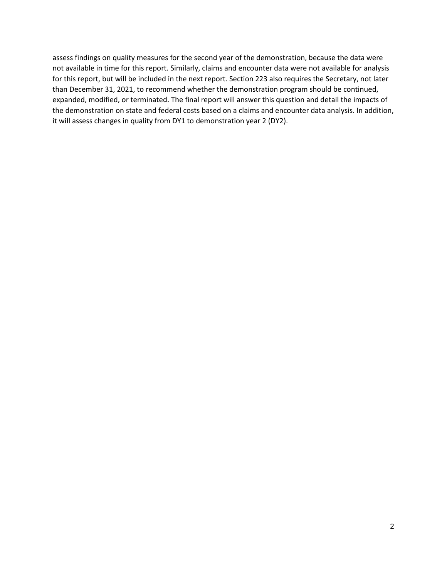assess findings on quality measures for the second year of the demonstration, because the data were not available in time for this report. Similarly, claims and encounter data were not available for analysis for this report, but will be included in the next report. Section 223 also requires the Secretary, not later than December 31, 2021, to recommend whether the demonstration program should be continued, expanded, modified, or terminated. The final report will answer this question and detail the impacts of the demonstration on state and federal costs based on a claims and encounter data analysis. In addition, it will assess changes in quality from DY1 to demonstration year 2 (DY2).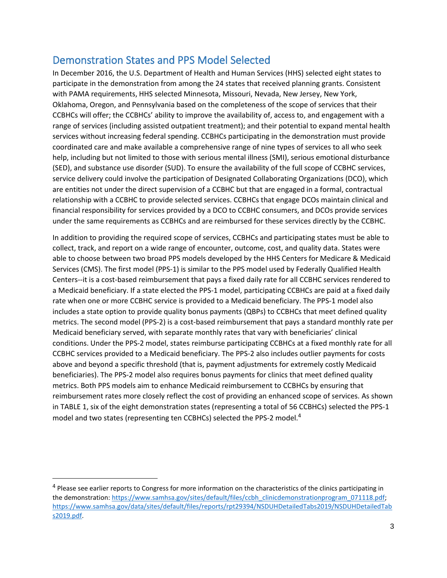#### Demonstration States and PPS Model Selected

In December 2016, the U.S. Department of Health and Human Services (HHS) selected eight states to participate in the demonstration from among the 24 states that received planning grants. Consistent with PAMA requirements, HHS selected Minnesota, Missouri, Nevada, New Jersey, New York, Oklahoma, Oregon, and Pennsylvania based on the completeness of the scope of services that their CCBHCs will offer; the CCBHCs' ability to improve the availability of, access to, and engagement with a range of services (including assisted outpatient treatment); and their potential to expand mental health services without increasing federal spending. CCBHCs participating in the demonstration must provide coordinated care and make available a comprehensive range of nine types of services to all who seek help, including but not limited to those with serious mental illness (SMI), serious emotional disturbance (SED), and substance use disorder (SUD). To ensure the availability of the full scope of CCBHC services, service delivery could involve the participation of Designated Collaborating Organizations (DCO), which are entities not under the direct supervision of a CCBHC but that are engaged in a formal, contractual relationship with a CCBHC to provide selected services. CCBHCs that engage DCOs maintain clinical and financial responsibility for services provided by a DCO to CCBHC consumers, and DCOs provide services under the same requirements as CCBHCs and are reimbursed for these services directly by the CCBHC.

In addition to providing the required scope of services, CCBHCs and participating states must be able to collect, track, and report on a wide range of encounter, outcome, cost, and quality data. States were able to choose between two broad PPS models developed by the HHS Centers for Medicare & Medicaid Services (CMS). The first model (PPS-1) is similar to the PPS model used by Federally Qualified Health Centers--it is a cost-based reimbursement that pays a fixed daily rate for all CCBHC services rendered to a Medicaid beneficiary. If a state elected the PPS-1 model, participating CCBHCs are paid at a fixed daily rate when one or more CCBHC service is provided to a Medicaid beneficiary. The PPS-1 model also includes a state option to provide quality bonus payments (QBPs) to CCBHCs that meet defined quality metrics. The second model (PPS-2) is a cost-based reimbursement that pays a standard monthly rate per Medicaid beneficiary served, with separate monthly rates that vary with beneficiaries' clinical conditions. Under the PPS-2 model, states reimburse participating CCBHCs at a fixed monthly rate for all CCBHC services provided to a Medicaid beneficiary. The PPS-2 also includes outlier payments for costs above and beyond a specific threshold (that is, payment adjustments for extremely costly Medicaid beneficiaries). The PPS-2 model also requires bonus payments for clinics that meet defined quality metrics. Both PPS models aim to enhance Medicaid reimbursement to CCBHCs by ensuring that reimbursement rates more closely reflect the cost of providing an enhanced scope of services. As shown in TABLE 1, six of the eight demonstration states (representing a total of 56 CCBHCs) selected the PPS-1 model and two states (representing ten CCBHCs) selected the PPS-2 model.<sup>4</sup>

<sup>&</sup>lt;sup>4</sup> Please see earlier reports to Congress for more information on the characteristics of the clinics participating in the demonstration: [https://www.samhsa.gov/sites/default/files/ccbh\\_clinicdemonstrationprogram\\_071118.pdf;](https://www.samhsa.gov/sites/default/files/ccbh_clinicdemonstrationprogram_071118.pdf) [https://www.samhsa.gov/data/sites/default/files/reports/rpt29394/NSDUHDetailedTabs2019/NSDUHDetailedTab](https://www.samhsa.gov/data/sites/default/files/reports/rpt29394/NSDUHDetailedTabs2019/NSDUHDetailedTabs2019.pdf) [s2019.pdf.](https://www.samhsa.gov/data/sites/default/files/reports/rpt29394/NSDUHDetailedTabs2019/NSDUHDetailedTabs2019.pdf)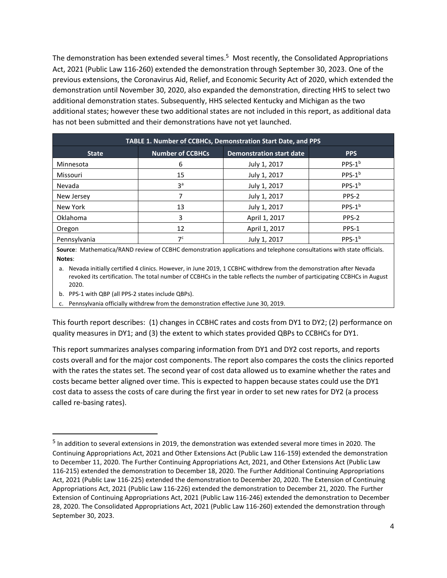The demonstration has been extended several times.<sup>5</sup> Most recently, the Consolidated Appropriations Act, 2021 (Public Law 116-260) extended the demonstration through September 30, 2023. One of the previous extensions, the Coronavirus Aid, Relief, and Economic Security Act of 2020, which extended the demonstration until November 30, 2020, also expanded the demonstration, directing HHS to select two additional demonstration states. Subsequently, HHS selected Kentucky and Michigan as the two additional states; however these two additional states are not included in this report, as additional data has not been submitted and their demonstrations have not yet launched.

| <b>TABLE 1. Number of CCBHCs, Demonstration Start Date, and PPS</b>                      |                |               |                    |  |  |  |
|------------------------------------------------------------------------------------------|----------------|---------------|--------------------|--|--|--|
| <b>Number of CCBHCs</b><br><b>Demonstration start date</b><br><b>PPS</b><br><b>State</b> |                |               |                    |  |  |  |
| Minnesota                                                                                | 6              | July 1, 2017  | PPS-1 <sup>b</sup> |  |  |  |
| Missouri                                                                                 | 15             | July 1, 2017  | PPS-1 <sup>b</sup> |  |  |  |
| Nevada                                                                                   | 3 <sup>a</sup> | July 1, 2017  | PPS-1 <sup>b</sup> |  |  |  |
| New Jersey                                                                               |                | July 1, 2017  | PPS-2              |  |  |  |
| New York                                                                                 | 13             | July 1, 2017  | PPS-1 <sup>b</sup> |  |  |  |
| Oklahoma                                                                                 | 3              | April 1, 2017 | PPS-2              |  |  |  |
| Oregon                                                                                   | 12             | April 1, 2017 | PPS-1              |  |  |  |
| Pennsylvania                                                                             | 7 <sup>c</sup> | July 1, 2017  | PPS-1 <sup>b</sup> |  |  |  |

**Source**: Mathematica/RAND review of CCBHC demonstration applications and telephone consultations with state officials. **Notes**:

a. Nevada initially certified 4 clinics. However, in June 2019, 1 CCBHC withdrew from the demonstration after Nevada revoked its certification. The total number of CCBHCs in the table reflects the number of participating CCBHCs in August 2020.

b. PPS-1 with QBP (all PPS-2 states include QBPs).

c. Pennsylvania officially withdrew from the demonstration effective June 30, 2019.

This fourth report describes: (1) changes in CCBHC rates and costs from DY1 to DY2; (2) performance on quality measures in DY1; and (3) the extent to which states provided QBPs to CCBHCs for DY1.

This report summarizes analyses comparing information from DY1 and DY2 cost reports, and reports costs overall and for the major cost components. The report also compares the costs the clinics reported with the rates the states set. The second year of cost data allowed us to examine whether the rates and costs became better aligned over time. This is expected to happen because states could use the DY1 cost data to assess the costs of care during the first year in order to set new rates for DY2 (a process called re-basing rates).

<sup>&</sup>lt;sup>5</sup> In addition to several extensions in 2019, the demonstration was extended several more times in 2020. The Continuing Appropriations Act, 2021 and Other Extensions Act (Public Law 116-159) extended the demonstration to December 11, 2020. The Further Continuing Appropriations Act, 2021, and Other Extensions Act (Public Law 116-215) extended the demonstration to December 18, 2020. The Further Additional Continuing Appropriations Act, 2021 (Public Law 116-225) extended the demonstration to December 20, 2020. The Extension of Continuing Appropriations Act, 2021 (Public Law 116-226) extended the demonstration to December 21, 2020. The Further Extension of Continuing Appropriations Act, 2021 (Public Law 116-246) extended the demonstration to December 28, 2020. The Consolidated Appropriations Act, 2021 (Public Law 116-260) extended the demonstration through September 30, 2023.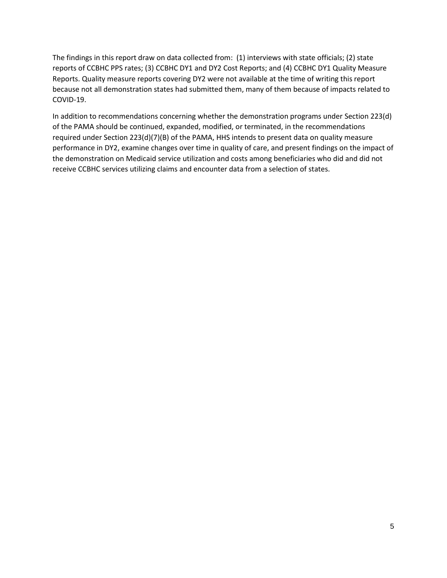The findings in this report draw on data collected from: (1) interviews with state officials; (2) state reports of CCBHC PPS rates; (3) CCBHC DY1 and DY2 Cost Reports; and (4) CCBHC DY1 Quality Measure Reports. Quality measure reports covering DY2 were not available at the time of writing this report because not all demonstration states had submitted them, many of them because of impacts related to COVID-19.

In addition to recommendations concerning whether the demonstration programs under Section 223(d) of the PAMA should be continued, expanded, modified, or terminated, in the recommendations required under Section 223(d)(7)(B) of the PAMA, HHS intends to present data on quality measure performance in DY2, examine changes over time in quality of care, and present findings on the impact of the demonstration on Medicaid service utilization and costs among beneficiaries who did and did not receive CCBHC services utilizing claims and encounter data from a selection of states.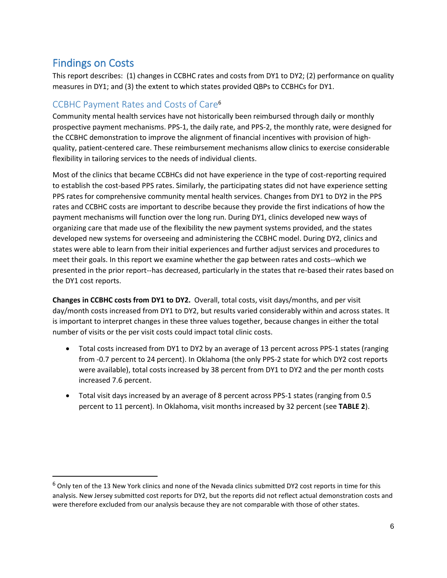#### Findings on Costs

This report describes: (1) changes in CCBHC rates and costs from DY1 to DY2; (2) performance on quality measures in DY1; and (3) the extent to which states provided QBPs to CCBHCs for DY1.

#### CCBHC Payment Rates and Costs of Care<sup>6</sup>

Community mental health services have not historically been reimbursed through daily or monthly prospective payment mechanisms. PPS-1, the daily rate, and PPS-2, the monthly rate, were designed for the CCBHC demonstration to improve the alignment of financial incentives with provision of highquality, patient-centered care. These reimbursement mechanisms allow clinics to exercise considerable flexibility in tailoring services to the needs of individual clients.

Most of the clinics that became CCBHCs did not have experience in the type of cost-reporting required to establish the cost-based PPS rates. Similarly, the participating states did not have experience setting PPS rates for comprehensive community mental health services. Changes from DY1 to DY2 in the PPS rates and CCBHC costs are important to describe because they provide the first indications of how the payment mechanisms will function over the long run. During DY1, clinics developed new ways of organizing care that made use of the flexibility the new payment systems provided, and the states developed new systems for overseeing and administering the CCBHC model. During DY2, clinics and states were able to learn from their initial experiences and further adjust services and procedures to meet their goals. In this report we examine whether the gap between rates and costs--which we presented in the prior report--has decreased, particularly in the states that re-based their rates based on the DY1 cost reports.

**Changes in CCBHC costs from DY1 to DY2.** Overall, total costs, visit days/months, and per visit day/month costs increased from DY1 to DY2, but results varied considerably within and across states. It is important to interpret changes in these three values together, because changes in either the total number of visits or the per visit costs could impact total clinic costs.

- Total costs increased from DY1 to DY2 by an average of 13 percent across PPS-1 states (ranging from -0.7 percent to 24 percent). In Oklahoma (the only PPS-2 state for which DY2 cost reports were available), total costs increased by 38 percent from DY1 to DY2 and the per month costs increased 7.6 percent.
- Total visit days increased by an average of 8 percent across PPS-1 states (ranging from 0.5 percent to 11 percent). In Oklahoma, visit months increased by 32 percent (see **TABLE 2**).

 $6$  Only ten of the 13 New York clinics and none of the Nevada clinics submitted DY2 cost reports in time for this analysis. New Jersey submitted cost reports for DY2, but the reports did not reflect actual demonstration costs and were therefore excluded from our analysis because they are not comparable with those of other states.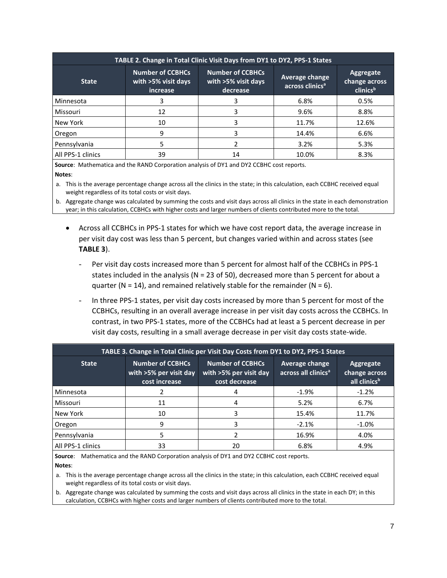| TABLE 2. Change in Total Clinic Visit Days from DY1 to DY2, PPS-1 States                                                                 |    |                                               |                                        |       |  |  |
|------------------------------------------------------------------------------------------------------------------------------------------|----|-----------------------------------------------|----------------------------------------|-------|--|--|
| <b>Number of CCBHCs</b><br><b>Number of CCBHCs</b><br>with >5% visit days<br>with >5% visit days<br><b>State</b><br>decrease<br>increase |    | Average change<br>across clinics <sup>a</sup> | Aggregate<br>change across<br>clinicsb |       |  |  |
| Minnesota                                                                                                                                |    |                                               | 6.8%                                   | 0.5%  |  |  |
| Missouri                                                                                                                                 | 12 | 3                                             | 9.6%                                   | 8.8%  |  |  |
| New York                                                                                                                                 | 10 | 3                                             | 11.7%                                  | 12.6% |  |  |
| Oregon                                                                                                                                   | 9  | 3                                             | 14.4%                                  | 6.6%  |  |  |
| Pennsylvania                                                                                                                             |    |                                               | 3.2%                                   | 5.3%  |  |  |
| All PPS-1 clinics                                                                                                                        | 39 | 14                                            | 10.0%                                  | 8.3%  |  |  |

**Source**: Mathematica and the RAND Corporation analysis of DY1 and DY2 CCBHC cost reports. **Notes**:

a. This is the average percentage change across all the clinics in the state; in this calculation, each CCBHC received equal weight regardless of its total costs or visit days.

b. Aggregate change was calculated by summing the costs and visit days across all clinics in the state in each demonstration year; in this calculation, CCBHCs with higher costs and larger numbers of clients contributed more to the total.

- Across all CCBHCs in PPS-1 states for which we have cost report data, the average increase in per visit day cost was less than 5 percent, but changes varied within and across states (see **TABLE 3**).
	- Per visit day costs increased more than 5 percent for almost half of the CCBHCs in PPS-1 states included in the analysis (N = 23 of 50), decreased more than 5 percent for about a quarter ( $N = 14$ ), and remained relatively stable for the remainder ( $N = 6$ ).
	- In three PPS-1 states, per visit day costs increased by more than 5 percent for most of the CCBHCs, resulting in an overall average increase in per visit day costs across the CCBHCs. In contrast, in two PPS-1 states, more of the CCBHCs had at least a 5 percent decrease in per visit day costs, resulting in a small average decrease in per visit day costs state-wide.

| TABLE 3. Change in Total Clinic per Visit Day Costs from DY1 to DY2, PPS-1 States                                                                        |    |                                                          |                                                        |         |  |
|----------------------------------------------------------------------------------------------------------------------------------------------------------|----|----------------------------------------------------------|--------------------------------------------------------|---------|--|
| <b>Number of CCBHCs</b><br><b>Number of CCBHCs</b><br><b>State</b><br>with >5% per visit day<br>with >5% per visit day<br>cost decrease<br>cost increase |    | <b>Average change</b><br>across all clinics <sup>a</sup> | Aggregate<br>change across<br>all clinics <sup>b</sup> |         |  |
| Minnesota                                                                                                                                                |    |                                                          | $-1.9%$                                                | $-1.2%$ |  |
| <b>Missouri</b>                                                                                                                                          | 11 | 4                                                        | 5.2%                                                   | 6.7%    |  |
| New York                                                                                                                                                 | 10 | 3                                                        | 15.4%                                                  | 11.7%   |  |
| Oregon                                                                                                                                                   | 9  | 3                                                        | $-2.1%$                                                | $-1.0%$ |  |
| Pennsylvania                                                                                                                                             | 5. |                                                          | 16.9%                                                  | 4.0%    |  |
| All PPS-1 clinics                                                                                                                                        | 33 | 20                                                       | 6.8%                                                   | 4.9%    |  |

**Source**: Mathematica and the RAND Corporation analysis of DY1 and DY2 CCBHC cost reports. **Notes**:

a. This is the average percentage change across all the clinics in the state; in this calculation, each CCBHC received equal weight regardless of its total costs or visit days.

b. Aggregate change was calculated by summing the costs and visit days across all clinics in the state in each DY; in this calculation, CCBHCs with higher costs and larger numbers of clients contributed more to the total.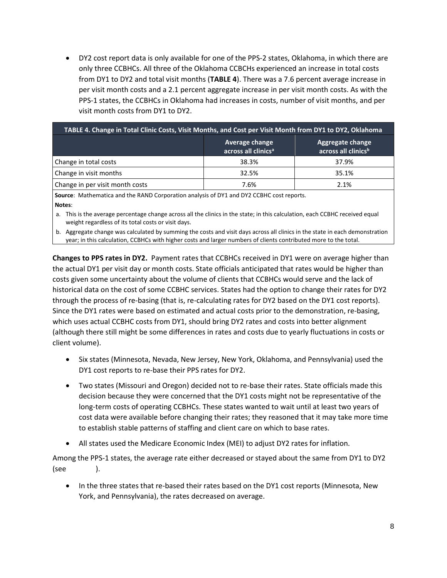• DY2 cost report data is only available for one of the PPS-2 states, Oklahoma, in which there are only three CCBHCs. All three of the Oklahoma CCBCHs experienced an increase in total costs from DY1 to DY2 and total visit months (**TABLE 4**). There was a 7.6 percent average increase in per visit month costs and a 2.1 percent aggregate increase in per visit month costs. As with the PPS-1 states, the CCBHCs in Oklahoma had increases in costs, number of visit months, and per visit month costs from DY1 to DY2.

| TABLE 4. Change in Total Clinic Costs, Visit Months, and Cost per Visit Month from DY1 to DY2, Oklahoma |       |                                                     |  |  |
|---------------------------------------------------------------------------------------------------------|-------|-----------------------------------------------------|--|--|
| Average change<br>across all clinics <sup>a</sup>                                                       |       | Aggregate change<br>across all clinics <sup>b</sup> |  |  |
| Change in total costs                                                                                   | 38.3% | 37.9%                                               |  |  |
| Change in visit months                                                                                  | 32.5% | 35.1%                                               |  |  |
| Change in per visit month costs                                                                         | 7.6%  | 2.1%                                                |  |  |

**Source**: Mathematica and the RAND Corporation analysis of DY1 and DY2 CCBHC cost reports. **Notes**:

a. This is the average percentage change across all the clinics in the state; in this calculation, each CCBHC received equal weight regardless of its total costs or visit days.

b. Aggregate change was calculated by summing the costs and visit days across all clinics in the state in each demonstration year; in this calculation, CCBHCs with higher costs and larger numbers of clients contributed more to the total.

**Changes to PPS rates in DY2.** Payment rates that CCBHCs received in DY1 were on average higher than the actual DY1 per visit day or month costs. State officials anticipated that rates would be higher than costs given some uncertainty about the volume of clients that CCBHCs would serve and the lack of historical data on the cost of some CCBHC services. States had the option to change their rates for DY2 through the process of re-basing (that is, re-calculating rates for DY2 based on the DY1 cost reports). Since the DY1 rates were based on estimated and actual costs prior to the demonstration, re-basing, which uses actual CCBHC costs from DY1, should bring DY2 rates and costs into better alignment (although there still might be some differences in rates and costs due to yearly fluctuations in costs or client volume).

- Six states (Minnesota, Nevada, New Jersey, New York, Oklahoma, and Pennsylvania) used the DY1 cost reports to re-base their PPS rates for DY2.
- Two states (Missouri and Oregon) decided not to re-base their rates. State officials made this decision because they were concerned that the DY1 costs might not be representative of the long-term costs of operating CCBHCs. These states wanted to wait until at least two years of cost data were available before changing their rates; they reasoned that it may take more time to establish stable patterns of staffing and client care on which to base rates.
- All states used the Medicare Economic Index (MEI) to adjust DY2 rates for inflation.

Among the PPS-1 states, the average rate either decreased or stayed about the same from DY1 to DY2 (see ).

• In the three states that re-based their rates based on the DY1 cost reports (Minnesota, New York, and Pennsylvania), the rates decreased on average.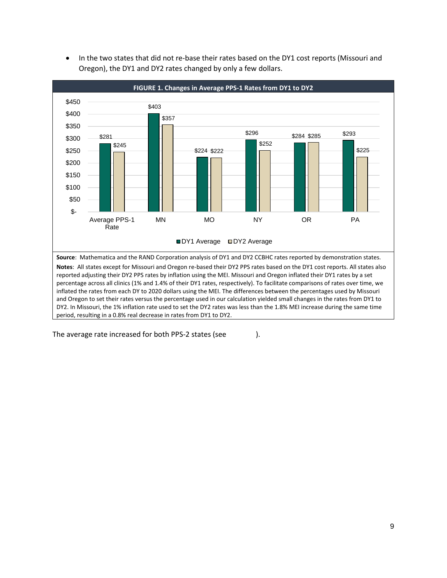<span id="page-16-0"></span>

• In the two states that did not re-base their rates based on the DY1 cost reports (Missouri and Oregon), the DY1 and DY2 rates changed by only a few dollars.

The average rate increased for both PPS-2 states (see  $\qquad$ ).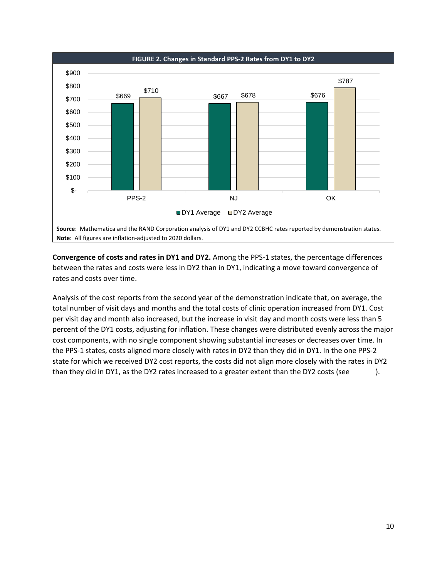<span id="page-17-0"></span>

**Convergence of costs and rates in DY1 and DY2.** Among the PPS-1 states, the percentage differences between the rates and costs were less in DY2 than in DY1, indicating a move toward convergence of rates and costs over time.

Analysis of the cost reports from the second year of the demonstration indicate that, on average, the total number of visit days and months and the total costs of clinic operation increased from DY1. Cost per visit day and month also increased, but the increase in visit day and month costs were less than 5 percent of the DY1 costs, adjusting for inflation. These changes were distributed evenly across the major cost components, with no single component showing substantial increases or decreases over time. In the PPS-1 states, costs aligned more closely with rates in DY2 than they did in DY1. In the one PPS-2 state for which we received DY2 cost reports, the costs did not align more closely with the rates in DY2 than they did in DY1, as the DY2 rates increased to a greater extent than the DY2 costs (see **[Figure 3](#page-18-0)**).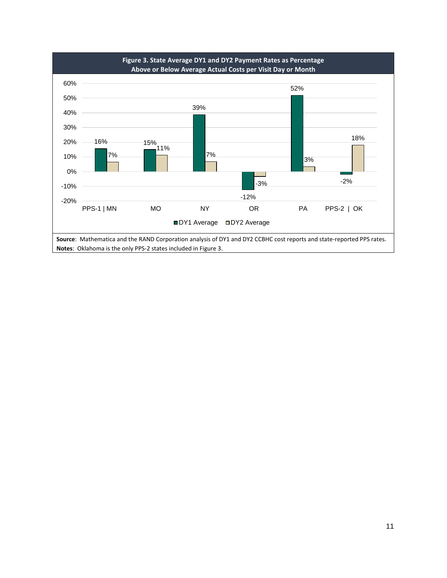<span id="page-18-0"></span>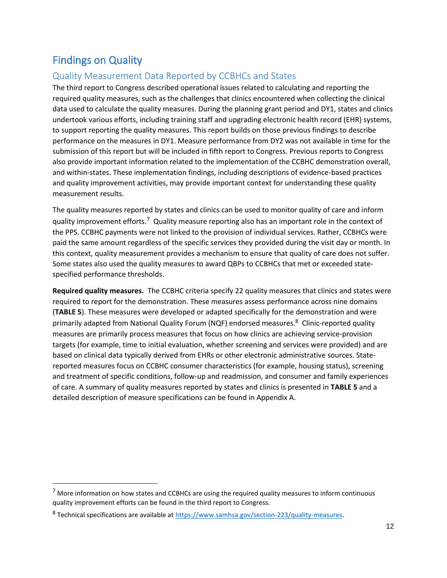### Findings on Quality

#### Quality Measurement Data Reported by CCBHCs and States

The third report to Congress described operational issues related to calculating and reporting the required quality measures, such as the challenges that clinics encountered when collecting the clinical data used to calculate the quality measures. During the planning grant period and DY1, states and clinics undertook various efforts, including training staff and upgrading electronic health record (EHR) systems, to support reporting the quality measures. This report builds on those previous findings to describe performance on the measures in DY1. Measure performance from DY2 was not available in time for the submission of this report but will be included in fifth report to Congress. Previous reports to Congress also provide important information related to the implementation of the CCBHC demonstration overall, and within-states. These implementation findings, including descriptions of evidence-based practices and quality improvement activities, may provide important context for understanding these quality measurement results.

The quality measures reported by states and clinics can be used to monitor quality of care and inform quality improvement efforts.<sup>7</sup> Quality measure reporting also has an important role in the context of the PPS. CCBHC payments were not linked to the provision of individual services. Rather, CCBHCs were paid the same amount regardless of the specific services they provided during the visit day or month. In this context, quality measurement provides a mechanism to ensure that quality of care does not suffer. Some states also used the quality measures to award QBPs to CCBHCs that met or exceeded statespecified performance thresholds.

**Required quality measures.** The CCBHC criteria specify 22 quality measures that clinics and states were required to report for the demonstration. These measures assess performance across nine domains (**TABLE 5**). These measures were developed or adapted specifically for the demonstration and were primarily adapted from National Quality Forum (NQF) endorsed measures.<sup>8</sup> Clinic-reported quality measures are primarily process measures that focus on how clinics are achieving service-provision targets (for example, time to initial evaluation, whether screening and services were provided) and are based on clinical data typically derived from EHRs or other electronic administrative sources. Statereported measures focus on CCBHC consumer characteristics (for example, housing status), screening and treatment of specific conditions, follow-up and readmission, and consumer and family experiences of care. A summary of quality measures reported by states and clinics is presented in **TABLE 5** and a detailed description of measure specifications can be found in Appendix A.

 $<sup>7</sup>$  More information on how states and CCBHCs are using the required quality measures to inform continuous</sup> quality improvement efforts can be found in the third report to Congress.

<sup>&</sup>lt;sup>8</sup> Technical specifications are available at [https://www.samhsa.gov/section-223/quality-measures.](https://www.samhsa.gov/section-223/quality-measures)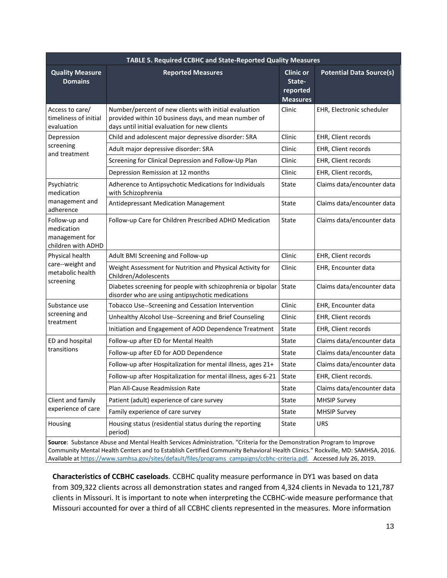| TABLE 5. Required CCBHC and State-Reported Quality Measures         |                                                                                                                                                                          |        |                                 |  |  |
|---------------------------------------------------------------------|--------------------------------------------------------------------------------------------------------------------------------------------------------------------------|--------|---------------------------------|--|--|
| <b>Quality Measure</b><br><b>Domains</b>                            | <b>Clinic or</b><br><b>Reported Measures</b><br>State-<br>reported<br><b>Measures</b>                                                                                    |        | <b>Potential Data Source(s)</b> |  |  |
| Access to care/<br>timeliness of initial<br>evaluation              | Number/percent of new clients with initial evaluation<br>Clinic<br>provided within 10 business days, and mean number of<br>days until initial evaluation for new clients |        | EHR, Electronic scheduler       |  |  |
| Depression                                                          | Child and adolescent major depressive disorder: SRA                                                                                                                      | Clinic | EHR, Client records             |  |  |
| screening<br>and treatment                                          | Adult major depressive disorder: SRA                                                                                                                                     | Clinic | EHR, Client records             |  |  |
|                                                                     | Screening for Clinical Depression and Follow-Up Plan                                                                                                                     | Clinic | EHR, Client records             |  |  |
|                                                                     | Depression Remission at 12 months                                                                                                                                        | Clinic | EHR, Client records,            |  |  |
| Psychiatric<br>medication                                           | Adherence to Antipsychotic Medications for Individuals<br>with Schizophrenia                                                                                             | State  | Claims data/encounter data      |  |  |
| management and<br>adherence                                         | Antidepressant Medication Management                                                                                                                                     | State  | Claims data/encounter data      |  |  |
| Follow-up and<br>medication<br>management for<br>children with ADHD | Follow-up Care for Children Prescribed ADHD Medication                                                                                                                   | State  | Claims data/encounter data      |  |  |
| Physical health                                                     | Adult BMI Screening and Follow-up                                                                                                                                        | Clinic | EHR, Client records             |  |  |
| care--weight and<br>metabolic health                                | Weight Assessment for Nutrition and Physical Activity for<br>Children/Adolescents                                                                                        | Clinic | EHR, Encounter data             |  |  |
| screening                                                           | Diabetes screening for people with schizophrenia or bipolar<br>disorder who are using antipsychotic medications                                                          | State  | Claims data/encounter data      |  |  |
| Substance use                                                       | Tobacco Use--Screening and Cessation Intervention                                                                                                                        | Clinic | EHR, Encounter data             |  |  |
| screening and<br>treatment                                          | Unhealthy Alcohol Use--Screening and Brief Counseling                                                                                                                    | Clinic | EHR, Client records             |  |  |
|                                                                     | Initiation and Engagement of AOD Dependence Treatment                                                                                                                    | State  | EHR, Client records             |  |  |
| ED and hospital                                                     | Follow-up after ED for Mental Health                                                                                                                                     | State  | Claims data/encounter data      |  |  |
| transitions                                                         | Follow-up after ED for AOD Dependence                                                                                                                                    | State  | Claims data/encounter data      |  |  |
|                                                                     | Follow-up after Hospitalization for mental illness, ages 21+                                                                                                             | State  | Claims data/encounter data      |  |  |
|                                                                     | Follow-up after Hospitalization for mental illness, ages 6-21                                                                                                            | State  | EHR, Client records.            |  |  |
|                                                                     | Plan All-Cause Readmission Rate                                                                                                                                          | State  | Claims data/encounter data      |  |  |
| Client and family                                                   | Patient (adult) experience of care survey                                                                                                                                | State  | <b>MHSIP Survey</b>             |  |  |
| experience of care                                                  | Family experience of care survey                                                                                                                                         | State  | <b>MHSIP Survey</b>             |  |  |
| Housing                                                             | Housing status (residential status during the reporting<br>period)                                                                                                       | State  | <b>URS</b>                      |  |  |

**Source**: Substance Abuse and Mental Health Services Administration. "Criteria for the Demonstration Program to Improve Community Mental Health Centers and to Establish Certified Community Behavioral Health Clinics." Rockville, MD: SAMHSA, 2016. Available a[t https://www.samhsa.gov/sites/default/files/programs\\_campaigns/ccbhc-criteria.pdf.](https://www.samhsa.gov/sites/default/files/programs_campaigns/ccbhc-criteria.pdf) Accessed July 26, 2019.

**Characteristics of CCBHC caseloads***.* CCBHC quality measure performance in DY1 was based on data from 309,322 clients across all demonstration states and ranged from 4,324 clients in Nevada to 121,787 clients in Missouri. It is important to note when interpreting the CCBHC-wide measure performance that Missouri accounted for over a third of all CCBHC clients represented in the measures. More information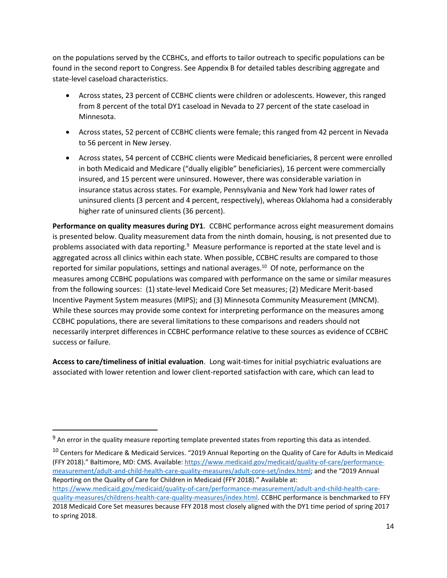on the populations served by the CCBHCs, and efforts to tailor outreach to specific populations can be found in the second report to Congress. See Appendix B for detailed tables describing aggregate and state-level caseload characteristics.

- Across states, 23 percent of CCBHC clients were children or adolescents. However, this ranged from 8 percent of the total DY1 caseload in Nevada to 27 percent of the state caseload in Minnesota.
- Across states, 52 percent of CCBHC clients were female; this ranged from 42 percent in Nevada to 56 percent in New Jersey.
- Across states, 54 percent of CCBHC clients were Medicaid beneficiaries, 8 percent were enrolled in both Medicaid and Medicare ("dually eligible" beneficiaries), 16 percent were commercially insured, and 15 percent were uninsured. However, there was considerable variation in insurance status across states. For example, Pennsylvania and New York had lower rates of uninsured clients (3 percent and 4 percent, respectively), whereas Oklahoma had a considerably higher rate of uninsured clients (36 percent).

**Performance on quality measures during DY1***.* CCBHC performance across eight measurement domains is presented below. Quality measurement data from the ninth domain, housing, is not presented due to problems associated with data reporting.<sup>9</sup> Measure performance is reported at the state level and is aggregated across all clinics within each state. When possible, CCBHC results are compared to those reported for similar populations, settings and national averages.<sup>10</sup> Of note, performance on the measures among CCBHC populations was compared with performance on the same or similar measures from the following sources: (1) state-level Medicaid Core Set measures; (2) Medicare Merit-based Incentive Payment System measures (MIPS); and (3) Minnesota Community Measurement (MNCM). While these sources may provide some context for interpreting performance on the measures among CCBHC populations, there are several limitations to these comparisons and readers should not necessarily interpret differences in CCBHC performance relative to these sources as evidence of CCBHC success or failure.

**Access to care/timeliness of initial evaluation**. Long wait-times for initial psychiatric evaluations are associated with lower retention and lower client-reported satisfaction with care, which can lead to

 $9$  An error in the quality measure reporting template prevented states from reporting this data as intended.

<sup>&</sup>lt;sup>10</sup> Centers for Medicare & Medicaid Services. "2019 Annual Reporting on the Quality of Care for Adults in Medicaid (FFY 2018)." Baltimore, MD: CMS. Available: [https://www.medicaid.gov/medicaid/quality-of-care/performance](https://www.medicaid.gov/medicaid/quality-of-care/performance-measurement/adult-and-child-health-care-quality-measures/adult-core-set/index.html)[measurement/adult-and-child-health-care-quality-measures/adult-core-set/index.html;](https://www.medicaid.gov/medicaid/quality-of-care/performance-measurement/adult-and-child-health-care-quality-measures/adult-core-set/index.html) and the "2019 Annual Reporting on the Quality of Care for Children in Medicaid (FFY 2018)." Available at: [https://www.medicaid.gov/medicaid/quality-of-care/performance-measurement/adult-and-child-health-care](https://www.medicaid.gov/medicaid/quality-of-care/performance-measurement/adult-and-child-health-care-quality-measures/childrens-health-care-quality-measures/index.html)[quality-measures/childrens-health-care-quality-measures/index.html.](https://www.medicaid.gov/medicaid/quality-of-care/performance-measurement/adult-and-child-health-care-quality-measures/childrens-health-care-quality-measures/index.html) CCBHC performance is benchmarked to FFY 2018 Medicaid Core Set measures because FFY 2018 most closely aligned with the DY1 time period of spring 2017 to spring 2018.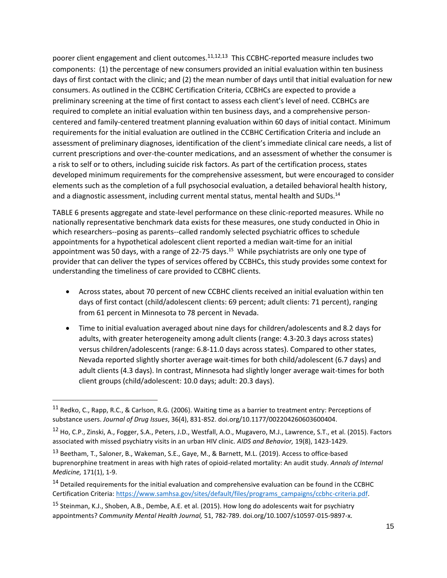poorer client engagement and client outcomes.<sup>11,12,13</sup> This CCBHC-reported measure includes two components: (1) the percentage of new consumers provided an initial evaluation within ten business days of first contact with the clinic; and (2) the mean number of days until that initial evaluation for new consumers. As outlined in the CCBHC Certification Criteria, CCBHCs are expected to provide a preliminary screening at the time of first contact to assess each client's level of need. CCBHCs are required to complete an initial evaluation within ten business days, and a comprehensive personcentered and family-centered treatment planning evaluation within 60 days of initial contact. Minimum requirements for the initial evaluation are outlined in the CCBHC Certification Criteria and include an assessment of preliminary diagnoses, identification of the client's immediate clinical care needs, a list of current prescriptions and over-the-counter medications, and an assessment of whether the consumer is a risk to self or to others, including suicide risk factors. As part of the certification process, states developed minimum requirements for the comprehensive assessment, but were encouraged to consider elements such as the completion of a full psychosocial evaluation, a detailed behavioral health history, and a diagnostic assessment, including current mental status, mental health and SUDs.<sup>14</sup>

TABLE 6 presents aggregate and state-level performance on these clinic-reported measures. While no nationally representative benchmark data exists for these measures, one study conducted in Ohio in which researchers--posing as parents--called randomly selected psychiatric offices to schedule appointments for a hypothetical adolescent client reported a median wait-time for an initial appointment was 50 days, with a range of 22-75 days.<sup>15</sup> While psychiatrists are only one type of provider that can deliver the types of services offered by CCBHCs, this study provides some context for understanding the timeliness of care provided to CCBHC clients.

- Across states, about 70 percent of new CCBHC clients received an initial evaluation within ten days of first contact (child/adolescent clients: 69 percent; adult clients: 71 percent), ranging from 61 percent in Minnesota to 78 percent in Nevada.
- Time to initial evaluation averaged about nine days for children/adolescents and 8.2 days for adults, with greater heterogeneity among adult clients (range: 4.3-20.3 days across states) versus children/adolescents (range: 6.8-11.0 days across states). Compared to other states, Nevada reported slightly shorter average wait-times for both child/adolescent (6.7 days) and adult clients (4.3 days). In contrast, Minnesota had slightly longer average wait-times for both client groups (child/adolescent: 10.0 days; adult: 20.3 days).

<sup>11</sup> Redko, C., Rapp, R.C., & Carlson, R.G. (2006). Waiting time as a barrier to treatment entry: Perceptions of substance users. *Journal of Drug Issues*, 36(4), 831-852. doi.org/10.1177/002204260603600404.

<sup>12</sup> Ho, C.P., Zinski, A., Fogger, S.A., Peters, J.D., Westfall, A.O., Mugavero, M.J., Lawrence, S.T., et al. (2015). Factors associated with missed psychiatry visits in an urban HIV clinic. *AIDS and Behavior,* 19(8), 1423-1429.

<sup>&</sup>lt;sup>13</sup> Beetham, T., Saloner, B., Wakeman, S.E., Gaye, M., & Barnett, M.L. (2019). Access to office-based buprenorphine treatment in areas with high rates of opioid-related mortality: An audit study. *Annals of Internal Medicine,* 171(1), 1-9.

<sup>&</sup>lt;sup>14</sup> Detailed requirements for the initial evaluation and comprehensive evaluation can be found in the CCBHC Certification Criteria: [https://www.samhsa.gov/sites/default/files/programs\\_campaigns/ccbhc-criteria.pdf.](https://www.samhsa.gov/sites/default/files/programs_campaigns/ccbhc-criteria.pdf)

<sup>&</sup>lt;sup>15</sup> Steinman, K.J., Shoben, A.B., Dembe, A.E. et al. (2015). How long do adolescents wait for psychiatry appointments? *Community Mental Health Journal,* 51, 782-789. doi.org/10.1007/s10597-015-9897-x.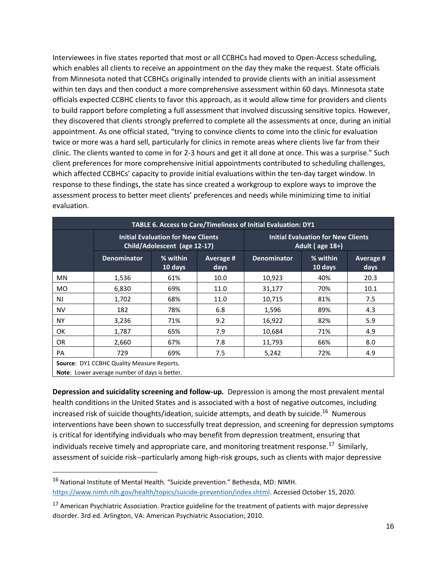Interviewees in five states reported that most or all CCBHCs had moved to Open-Access scheduling, which enables all clients to receive an appointment on the day they make the request. State officials from Minnesota noted that CCBHCs originally intended to provide clients with an initial assessment within ten days and then conduct a more comprehensive assessment within 60 days. Minnesota state officials expected CCBHC clients to favor this approach, as it would allow time for providers and clients to build rapport before completing a full assessment that involved discussing sensitive topics. However, they discovered that clients strongly preferred to complete all the assessments at once, during an initial appointment. As one official stated, "trying to convince clients to come into the clinic for evaluation twice or more was a hard sell, particularly for clinics in remote areas where clients live far from their clinic. The clients wanted to come in for 2-3 hours and get it all done at once. This was a surprise." Such client preferences for more comprehensive initial appointments contributed to scheduling challenges, which affected CCBHCs' capacity to provide initial evaluations within the ten-day target window. In response to these findings, the state has since created a workgroup to explore ways to improve the assessment process to better meet clients' preferences and needs while minimizing time to initial evaluation.

| TABLE 6. Access to Care/Timeliness of Initial Evaluation: DY1                                             |                                                                           |                     |                                                                  |                    |                     |                   |
|-----------------------------------------------------------------------------------------------------------|---------------------------------------------------------------------------|---------------------|------------------------------------------------------------------|--------------------|---------------------|-------------------|
|                                                                                                           | <b>Initial Evaluation for New Clients</b><br>Child/Adolescent (age 12-17) |                     | <b>Initial Evaluation for New Clients</b><br>Adult ( $age 18+$ ) |                    |                     |                   |
|                                                                                                           | <b>Denominator</b>                                                        | % within<br>10 days | Average #<br>days                                                | <b>Denominator</b> | % within<br>10 days | Average #<br>days |
| <b>MN</b>                                                                                                 | 1,536                                                                     | 61%                 | 10.0                                                             | 10,923             | 40%                 | 20.3              |
| <b>MO</b>                                                                                                 | 6,830                                                                     | 69%                 | 11.0                                                             | 31,177             | 70%                 | 10.1              |
| <b>NJ</b>                                                                                                 | 1,702                                                                     | 68%                 | 11.0                                                             | 10,715             | 81%                 | 7.5               |
| <b>NV</b>                                                                                                 | 182                                                                       | 78%                 | 6.8                                                              | 1,596              | 89%                 | 4.3               |
| <b>NY</b>                                                                                                 | 3,236                                                                     | 71%                 | 9.2                                                              | 16,922             | 82%                 | 5.9               |
| <b>OK</b>                                                                                                 | 1,787                                                                     | 65%                 | 7.9                                                              | 10,684             | 71%                 | 4.9               |
| OR.                                                                                                       | 2,660                                                                     | 67%                 | 7.8                                                              | 11,793             | 66%                 | 8.0               |
| PA                                                                                                        | 729                                                                       | 69%                 | 7.5                                                              | 5,242              | 72%                 | 4.9               |
| <b>Source: DY1 CCBHC Quality Measure Reports.</b><br><b>Note:</b> Lower average number of days is better. |                                                                           |                     |                                                                  |                    |                     |                   |

**Depression and suicidality screening and follow-up***.* Depression is among the most prevalent mental health conditions in the United States and is associated with a host of negative outcomes, including increased risk of suicide thoughts/ideation, suicide attempts, and death by suicide. <sup>16</sup> Numerous interventions have been shown to successfully treat depression, and screening for depression symptoms is critical for identifying individuals who may benefit from depression treatment, ensuring that individuals receive timely and appropriate care, and monitoring treatment response.<sup>17</sup> Similarly, assessment of suicide risk--particularly among high-risk groups, such as clients with major depressive

<sup>16</sup> National Institute of Mental Health. "Suicide prevention." Bethesda, MD: NIMH. [https://www.nimh.nih.gov/health/topics/suicide-prevention/index.shtml.](https://www.nimh.nih.gov/health/topics/suicide-prevention/index.shtml) Accessed October 15, 2020.

<sup>&</sup>lt;sup>17</sup> American Psychiatric Association. Practice guideline for the treatment of patients with major depressive disorder. 3rd ed. Arlington, VA: American Psychiatric Association; 2010.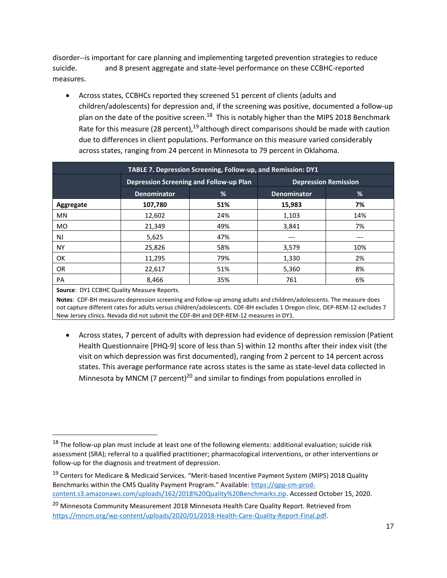disorder--is important for care planning and implementing targeted prevention strategies to reduce suicide. **The and 8 present aggregate and state-level performance on these CCBHC-reported** measures.

• Across states, CCBHCs reported they screened 51 percent of clients (adults and children/adolescents) for depression and, if the screening was positive, documented a follow-up plan on the date of the positive screen.<sup>18</sup> This is notably higher than the MIPS 2018 Benchmark Rate for this measure (28 percent),  $19$  although direct comparisons should be made with caution due to differences in client populations. Performance on this measure varied considerably across states, ranging from 24 percent in Minnesota to 79 percent in Oklahoma.

| TABLE 7. Depression Screening, Follow-up, and Remission: DY1 |                                         |     |                             |     |
|--------------------------------------------------------------|-----------------------------------------|-----|-----------------------------|-----|
|                                                              | Depression Screening and Follow-up Plan |     | <b>Depression Remission</b> |     |
|                                                              | %<br><b>Denominator</b>                 |     | <b>Denominator</b>          | %   |
| Aggregate                                                    | 107,780                                 | 51% | 15,983                      | 7%  |
| <b>MN</b>                                                    | 12,602                                  | 24% | 1,103                       | 14% |
| <b>MO</b>                                                    | 21,349                                  | 49% | 3,841                       | 7%  |
| NJ                                                           | 5,625                                   | 47% | ---                         | --- |
| <b>NY</b>                                                    | 25,826                                  | 58% | 3,579                       | 10% |
| <b>OK</b>                                                    | 11,295                                  | 79% | 1,330                       | 2%  |
| OR.                                                          | 22,617                                  | 51% | 5,360                       | 8%  |
| PA                                                           | 8,466                                   | 35% | 761                         | 6%  |

#### **Source**: DY1 CCBHC Quality Measure Reports.

**Notes**: CDF-BH measures depression screening and follow-up among adults and children/adolescents. The measure does not capture different rates for adults versus children/adolescents. CDF-BH excludes 1 Oregon clinic. DEP-REM-12 excludes 7 New Jersey clinics. Nevada did not submit the CDF-BH and DEP-REM-12 measures in DY1.

• Across states, 7 percent of adults with depression had evidence of depression remission (Patient Health Questionnaire [PHQ-9] score of less than 5) within 12 months after their index visit (the visit on which depression was first documented), ranging from 2 percent to 14 percent across states. This average performance rate across states is the same as state-level data collected in Minnesota by MNCM (7 percent)<sup>20</sup> and similar to findings from populations enrolled in

<sup>&</sup>lt;sup>18</sup> The follow-up plan must include at least one of the following elements: additional evaluation; suicide risk assessment (SRA); referral to a qualified practitioner; pharmacological interventions, or other interventions or follow-up for the diagnosis and treatment of depression.

<sup>&</sup>lt;sup>19</sup> Centers for Medicare & Medicaid Services. "Merit-based Incentive Payment System (MIPS) 2018 Quality Benchmarks within the CMS Quality Payment Program." Available: [https://qpp-cm-prod](https://qpp-cm-prod-content.s3.amazonaws.com/uploads/162/2018%20Quality%20Benchmarks.zip)[content.s3.amazonaws.com/uploads/162/2018%20Quality%20Benchmarks.zip.](https://qpp-cm-prod-content.s3.amazonaws.com/uploads/162/2018%20Quality%20Benchmarks.zip) Accessed October 15, 2020.

<sup>&</sup>lt;sup>20</sup> Minnesota Community Measurement 2018 Minnesota Health Care Quality Report. Retrieved from [https://mncm.org/wp-content/uploads/2020/01/2018-Health-Care-Quality-Report-Final.pdf.](https://mncm.org/wp-content/uploads/2020/01/2018-Health-Care-Quality-Report-Final.pdf)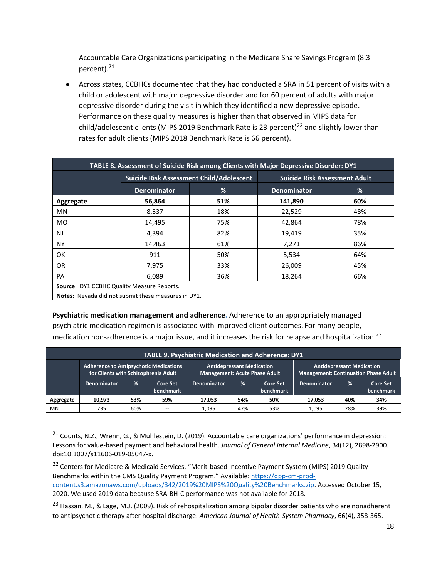Accountable Care Organizations participating in the Medicare Share Savings Program (8.3 percent).<sup>21</sup>

• Across states, CCBHCs documented that they had conducted a SRA in 51 percent of visits with a child or adolescent with major depressive disorder and for 60 percent of adults with major depressive disorder during the visit in which they identified a new depressive episode. Performance on these quality measures is higher than that observed in MIPS data for child/adolescent clients (MIPS 2019 Benchmark Rate is 23 percent)<sup>22</sup> and slightly lower than rates for adult clients (MIPS 2018 Benchmark Rate is 66 percent).

| TABLE 8. Assessment of Suicide Risk among Clients with Major Depressive Disorder: DY1 |                                                     |     |                                      |     |  |  |  |  |
|---------------------------------------------------------------------------------------|-----------------------------------------------------|-----|--------------------------------------|-----|--|--|--|--|
|                                                                                       | Suicide Risk Assessment Child/Adolescent            |     | <b>Suicide Risk Assessment Adult</b> |     |  |  |  |  |
|                                                                                       | %<br><b>Denominator</b>                             |     | <b>Denominator</b>                   | %   |  |  |  |  |
| Aggregate                                                                             | 56,864                                              | 51% | 141,890                              | 60% |  |  |  |  |
| <b>MN</b>                                                                             | 8,537                                               | 18% | 22,529                               | 48% |  |  |  |  |
| MO.                                                                                   | 14,495                                              | 75% | 42,864                               | 78% |  |  |  |  |
| <b>NJ</b>                                                                             | 4,394                                               | 82% | 19,419                               | 35% |  |  |  |  |
| <b>NY</b>                                                                             | 14,463                                              | 61% | 7,271                                | 86% |  |  |  |  |
| OK                                                                                    | 911                                                 | 50% | 5,534                                | 64% |  |  |  |  |
| OR.                                                                                   | 7,975                                               | 33% | 26,009                               | 45% |  |  |  |  |
| <b>PA</b>                                                                             | 6,089                                               | 36% | 18,264                               | 66% |  |  |  |  |
| Source: DY1 CCBHC Quality Measure Reports.                                            |                                                     |     |                                      |     |  |  |  |  |
|                                                                                       | Notes: Nevada did not submit these measures in DY1. |     |                                      |     |  |  |  |  |

**Psychiatric medication management and adherence.** Adherence to an appropriately managed psychiatric medication regimen is associated with improved client outcomes. For many people, medication non-adherence is a major issue, and it increases the risk for relapse and hospitalization.<sup>23</sup>

| <b>TABLE 9. Psychiatric Medication and Adherence: DY1</b> |                                                                                       |     |                              |                                                                          |     |                              |                                                                                 |     |                              |
|-----------------------------------------------------------|---------------------------------------------------------------------------------------|-----|------------------------------|--------------------------------------------------------------------------|-----|------------------------------|---------------------------------------------------------------------------------|-----|------------------------------|
|                                                           | <b>Adherence to Antipsychotic Medications</b><br>for Clients with Schizophrenia Adult |     |                              | <b>Antidepressant Medication</b><br><b>Management: Acute Phase Adult</b> |     |                              | <b>Antidepressant Medication</b><br><b>Management: Continuation Phase Adult</b> |     |                              |
|                                                           | Denominator                                                                           | %   | <b>Core Set</b><br>benchmark | <b>Denominator</b>                                                       | %   | <b>Core Set</b><br>benchmark | <b>Denominator</b>                                                              | %   | <b>Core Set</b><br>benchmark |
| Aggregate                                                 | 10,973                                                                                | 53% | 59%                          | 17,053                                                                   | 54% | 50%                          | 17.053                                                                          | 40% | 34%                          |
| MN                                                        | 735                                                                                   | 60% | --                           | 1.095                                                                    | 47% | 53%                          | 1.095                                                                           | 28% | 39%                          |

<sup>21</sup> Counts, N.Z., Wrenn, G., & Muhlestein, D. (2019). Accountable care organizations' performance in depression: Lessons for value-based payment and behavioral health. *Journal of General Internal Medicine*, 34(12), 2898-2900. doi:10.1007/s11606-019-05047-x.

<sup>&</sup>lt;sup>22</sup> Centers for Medicare & Medicaid Services. "Merit-based Incentive Payment System (MIPS) 2019 Quality Benchmarks within the CMS Quality Payment Program." Available: [https://qpp-cm-prod](https://qpp-cm-prod-content.s3.amazonaws.com/uploads/342/2019%20MIPS%20Quality%20Benchmarks.zip)[content.s3.amazonaws.com/uploads/342/2019%20MIPS%20Quality%20Benchmarks.zip.](https://qpp-cm-prod-content.s3.amazonaws.com/uploads/342/2019%20MIPS%20Quality%20Benchmarks.zip) Accessed October 15, 2020. We used 2019 data because SRA-BH-C performance was not available for 2018.

<sup>&</sup>lt;sup>23</sup> Hassan, M., & Lage, M.J. (2009). Risk of rehospitalization among bipolar disorder patients who are nonadherent to antipsychotic therapy after hospital discharge. *American Journal of Health-System Pharmacy*, 66(4), 358-365.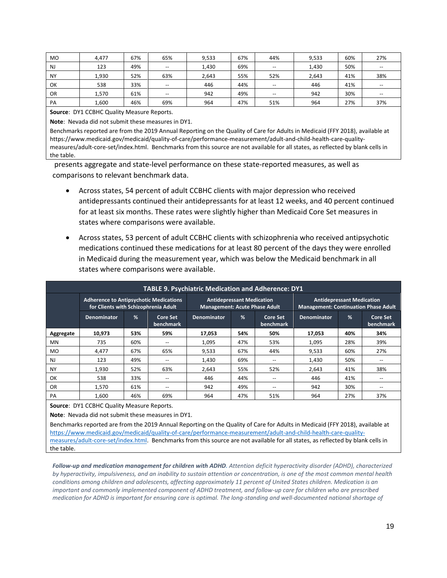| <b>MO</b> | 4,477 | 67% | 65%   | 9,533 | 67% | 44%   | 9,533 | 60% | 27%                                   |
|-----------|-------|-----|-------|-------|-----|-------|-------|-----|---------------------------------------|
| <b>NJ</b> | 123   | 49% | $- -$ | 1,430 | 69% | $- -$ | 1,430 | 50% | $- -$                                 |
| <b>NY</b> | 1,930 | 52% | 63%   | 2,643 | 55% | 52%   | 2,643 | 41% | 38%                                   |
| OK        | 538   | 33% | $- -$ | 446   | 44% | --    | 446   | 41% | $\hspace{0.05cm}$ – $\hspace{0.05cm}$ |
| OR        | 1,570 | 61% | $-$   | 942   | 49% | $- -$ | 942   | 30% | $-$                                   |
| PA        | 1,600 | 46% | 69%   | 964   | 47% | 51%   | 964   | 27% | 37%                                   |

**Source**: DY1 CCBHC Quality Measure Reports.

**Note**: Nevada did not submit these measures in DY1.

Benchmarks reported are from the 2019 Annual Reporting on the Quality of Care for Adults in Medicaid (FFY 2018), available at https://www.medicaid.gov/medicaid/quality-of-care/performance-measurement/adult-and-child-health-care-qualitymeasures/adult-core-set/index.html. Benchmarks from this source are not available for all states, as reflected by blank cells in the table.

presents aggregate and state-level performance on these state-reported measures, as well as comparisons to relevant benchmark data.

- Across states, 54 percent of adult CCBHC clients with major depression who received antidepressants continued their antidepressants for at least 12 weeks, and 40 percent continued for at least six months. These rates were slightly higher than Medicaid Core Set measures in states where comparisons were available.
- Across states, 53 percent of adult CCBHC clients with schizophrenia who received antipsychotic medications continued these medications for at least 80 percent of the days they were enrolled in Medicaid during the measurement year, which was below the Medicaid benchmark in all states where comparisons were available.

| <b>TABLE 9. Psychiatric Medication and Adherence: DY1</b> |                                                                                       |     |                       |                    |                                                                          |                              |                    |                                                                                 |                              |  |
|-----------------------------------------------------------|---------------------------------------------------------------------------------------|-----|-----------------------|--------------------|--------------------------------------------------------------------------|------------------------------|--------------------|---------------------------------------------------------------------------------|------------------------------|--|
|                                                           | <b>Adherence to Antipsychotic Medications</b><br>for Clients with Schizophrenia Adult |     |                       |                    | <b>Antidepressant Medication</b><br><b>Management: Acute Phase Adult</b> |                              |                    | <b>Antidepressant Medication</b><br><b>Management: Continuation Phase Adult</b> |                              |  |
|                                                           | <b>Denominator</b>                                                                    | %   | Core Set<br>benchmark | <b>Denominator</b> | %                                                                        | <b>Core Set</b><br>benchmark | <b>Denominator</b> | %                                                                               | <b>Core Set</b><br>benchmark |  |
| Aggregate                                                 | 10.973                                                                                | 53% | 59%                   | 17,053             | 54%                                                                      | 50%                          | 17.053             | 40%                                                                             | 34%                          |  |
| MN                                                        | 735                                                                                   | 60% | --                    | 1,095              | 47%                                                                      | 53%                          | 1,095              | 28%                                                                             | 39%                          |  |
| <b>MO</b>                                                 | 4.477                                                                                 | 67% | 65%                   | 9.533              | 67%                                                                      | 44%                          | 9.533              | 60%                                                                             | 27%                          |  |
| <b>NJ</b>                                                 | 123                                                                                   | 49% | $-$                   | 1.430              | 69%                                                                      | --                           | 1,430              | 50%                                                                             | $- -$                        |  |
| NY                                                        | 1,930                                                                                 | 52% | 63%                   | 2,643              | 55%                                                                      | 52%                          | 2,643              | 41%                                                                             | 38%                          |  |
| OK                                                        | 538                                                                                   | 33% | $-$                   | 446                | 44%                                                                      | --                           | 446                | 41%                                                                             | --                           |  |
| <b>OR</b>                                                 | 1.570                                                                                 | 61% | $- -$                 | 942                | 49%                                                                      | --                           | 942                | 30%                                                                             | $- -$                        |  |
| PA                                                        | 1.600                                                                                 | 46% | 69%                   | 964                | 47%                                                                      | 51%                          | 964                | 27%                                                                             | 37%                          |  |

**Source**: DY1 CCBHC Quality Measure Reports.

**Note**: Nevada did not submit these measures in DY1.

Benchmarks reported are from the 2019 Annual Reporting on the Quality of Care for Adults in Medicaid (FFY 2018), available at [https://www.medicaid.gov/medicaid/quality-of-care/performance-measurement/adult-and-child-health-care-quality](https://www.medicaid.gov/medicaid/quality-of-care/performance-measurement/adult-and-child-health-care-quality-measures/adult-core-set/index.html)[measures/adult-core-set/index.html.](https://www.medicaid.gov/medicaid/quality-of-care/performance-measurement/adult-and-child-health-care-quality-measures/adult-core-set/index.html) Benchmarks from this source are not available for all states, as reflected by blank cells in the table.

*Follow-up and medication management for children with ADHD. Attention deficit hyperactivity disorder (ADHD), characterized by hyperactivity, impulsiveness, and an inability to sustain attention or concentration, is one of the most common mental health conditions among children and adolescents, affecting approximately 11 percent of United States children. Medication is an important and commonly implemented component of ADHD treatment, and follow-up care for children who are prescribed medication for ADHD is important for ensuring care is optimal. The long-standing and well-documented national shortage of*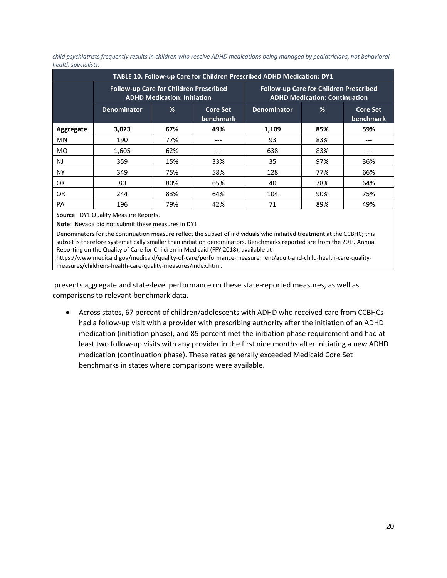*child psychiatrists frequently results in children who receive ADHD medications being managed by pediatricians, not behavioral health specialists.*

| TABLE 10. Follow-up Care for Children Prescribed ADHD Medication: DY1 |                    |                                                                              |                              |                                                                                |     |                              |  |  |  |
|-----------------------------------------------------------------------|--------------------|------------------------------------------------------------------------------|------------------------------|--------------------------------------------------------------------------------|-----|------------------------------|--|--|--|
|                                                                       |                    | Follow-up Care for Children Prescribed<br><b>ADHD Medication: Initiation</b> |                              | Follow-up Care for Children Prescribed<br><b>ADHD Medication: Continuation</b> |     |                              |  |  |  |
|                                                                       | <b>Denominator</b> | %                                                                            | <b>Core Set</b><br>benchmark | <b>Denominator</b>                                                             | %   | <b>Core Set</b><br>benchmark |  |  |  |
| Aggregate                                                             | 3,023              | 67%                                                                          | 49%                          | 1,109                                                                          | 85% | 59%                          |  |  |  |
| MN                                                                    | 190                | 77%                                                                          | ---                          | 93                                                                             | 83% | ---                          |  |  |  |
| <b>MO</b>                                                             | 1,605              | 62%                                                                          | ---                          | 638                                                                            | 83% | ---                          |  |  |  |
| <b>NJ</b>                                                             | 359                | 15%                                                                          | 33%                          | 35                                                                             | 97% | 36%                          |  |  |  |
| <b>NY</b>                                                             | 349                | 75%                                                                          | 58%                          | 128                                                                            | 77% | 66%                          |  |  |  |
| OK                                                                    | 80                 | 80%                                                                          | 65%                          | 40                                                                             | 78% | 64%                          |  |  |  |
| 0R                                                                    | 244                | 83%                                                                          | 64%                          | 104                                                                            | 90% | 75%                          |  |  |  |
| <b>PA</b>                                                             | 196                | 79%                                                                          | 42%                          | 71                                                                             | 89% | 49%                          |  |  |  |

**Source**: DY1 Quality Measure Reports.

**Note**: Nevada did not submit these measures in DY1.

Denominators for the continuation measure reflect the subset of individuals who initiated treatment at the CCBHC; this subset is therefore systematically smaller than initiation denominators. Benchmarks reported are from the 2019 Annual Reporting on the Quality of Care for Children in Medicaid (FFY 2018), available at

https://www.medicaid.gov/medicaid/quality-of-care/performance-measurement/adult-and-child-health-care-qualitymeasures/childrens-health-care-quality-measures/index.html.

presents aggregate and state-level performance on these state-reported measures, as well as comparisons to relevant benchmark data.

• Across states, 67 percent of children/adolescents with ADHD who received care from CCBHCs had a follow-up visit with a provider with prescribing authority after the initiation of an ADHD medication (initiation phase), and 85 percent met the initiation phase requirement and had at least two follow-up visits with any provider in the first nine months after initiating a new ADHD medication (continuation phase). These rates generally exceeded Medicaid Core Set benchmarks in states where comparisons were available.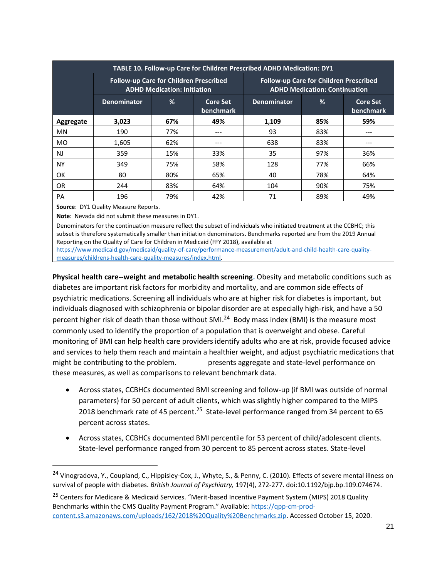| TABLE 10. Follow-up Care for Children Prescribed ADHD Medication: DY1 |                    |                                                                              |                              |                                                                                |     |                              |  |  |  |
|-----------------------------------------------------------------------|--------------------|------------------------------------------------------------------------------|------------------------------|--------------------------------------------------------------------------------|-----|------------------------------|--|--|--|
|                                                                       |                    | Follow-up Care for Children Prescribed<br><b>ADHD Medication: Initiation</b> |                              | Follow-up Care for Children Prescribed<br><b>ADHD Medication: Continuation</b> |     |                              |  |  |  |
|                                                                       | <b>Denominator</b> | %                                                                            | <b>Core Set</b><br>benchmark | <b>Denominator</b>                                                             | %   | <b>Core Set</b><br>benchmark |  |  |  |
| Aggregate                                                             | 3,023              | 67%                                                                          | 49%                          | 1,109                                                                          | 85% | 59%                          |  |  |  |
| <b>MN</b>                                                             | 190                | 77%                                                                          | ---                          | 93                                                                             | 83% |                              |  |  |  |
| <b>MO</b>                                                             | 1,605              | 62%                                                                          | ---                          | 638                                                                            | 83% | ---                          |  |  |  |
| <b>NJ</b>                                                             | 359                | 15%                                                                          | 33%                          | 35                                                                             | 97% | 36%                          |  |  |  |
| NΥ                                                                    | 349                | 75%                                                                          | 58%                          | 128                                                                            | 77% | 66%                          |  |  |  |
| 0K                                                                    | 80                 | 80%                                                                          | 65%                          | 40                                                                             | 78% | 64%                          |  |  |  |
| <b>OR</b>                                                             | 244                | 83%                                                                          | 64%                          | 104                                                                            | 90% | 75%                          |  |  |  |
| <b>PA</b>                                                             | 196                | 79%                                                                          | 42%                          | 71                                                                             | 89% | 49%                          |  |  |  |

**Source**: DY1 Quality Measure Reports.

**Note**: Nevada did not submit these measures in DY1.

Denominators for the continuation measure reflect the subset of individuals who initiated treatment at the CCBHC; this subset is therefore systematically smaller than initiation denominators. Benchmarks reported are from the 2019 Annual Reporting on the Quality of Care for Children in Medicaid (FFY 2018), available at

[https://www.medicaid.gov/medicaid/quality-of-care/performance-measurement/adult-and-child-health-care-quality](https://www.medicaid.gov/medicaid/quality-of-care/performance-measurement/adult-and-child-health-care-quality-measures/childrens-health-care-quality-measures/index.html)[measures/childrens-health-care-quality-measures/index.html.](https://www.medicaid.gov/medicaid/quality-of-care/performance-measurement/adult-and-child-health-care-quality-measures/childrens-health-care-quality-measures/index.html)

**Physical health care--weight and metabolic health screening.** Obesity and metabolic conditions such as diabetes are important risk factors for morbidity and mortality, and are common side effects of psychiatric medications. Screening all individuals who are at higher risk for diabetes is important, but individuals diagnosed with schizophrenia or bipolar disorder are at especially high-risk, and have a 50 percent higher risk of death than those without SMI.<sup>24</sup> Body mass index (BMI) is the measure most commonly used to identify the proportion of a population that is overweight and obese. Careful monitoring of BMI can help health care providers identify adults who are at risk, provide focused advice and services to help them reach and maintain a healthier weight, and adjust psychiatric medications that might be contributing to the problem. **The problem** presents aggregate and state-level performance on these measures, as well as comparisons to relevant benchmark data.

- Across states, CCBHCs documented BMI screening and follow-up (if BMI was outside of normal parameters) for 50 percent of adult clients**,** which was slightly higher compared to the MIPS 2018 benchmark rate of 45 percent.<sup>25</sup> State-level performance ranged from 34 percent to 65 percent across states.
- Across states, CCBHCs documented BMI percentile for 53 percent of child/adolescent clients. State-level performance ranged from 30 percent to 85 percent across states. State-level

<sup>&</sup>lt;sup>24</sup> Vinogradova, Y., Coupland, C., Hippisley-Cox, J., Whyte, S., & Penny, C. (2010). Effects of severe mental illness on survival of people with diabetes. *British Journal of Psychiatry,* 197(4), 272-277. doi:10.1192/bjp.bp.109.074674.

<sup>&</sup>lt;sup>25</sup> Centers for Medicare & Medicaid Services. "Merit-based Incentive Payment System (MIPS) 2018 Quality Benchmarks within the CMS Quality Payment Program." Available: [https://qpp-cm-prod](https://qpp-cm-prod-content.s3.amazonaws.com/uploads/162/2018%20Quality%20Benchmarks.zip)[content.s3.amazonaws.com/uploads/162/2018%20Quality%20Benchmarks.zip.](https://qpp-cm-prod-content.s3.amazonaws.com/uploads/162/2018%20Quality%20Benchmarks.zip) Accessed October 15, 2020.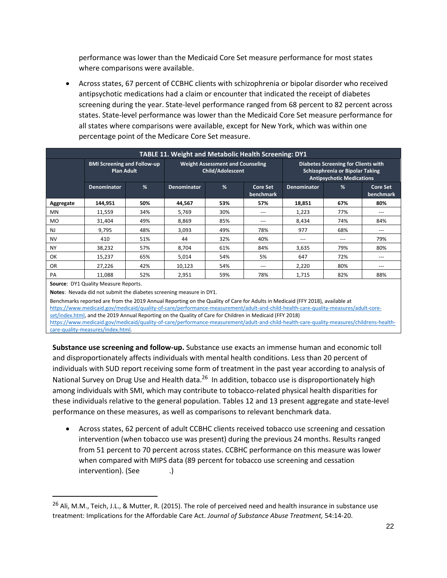performance was lower than the Medicaid Core Set measure performance for most states where comparisons were available.

• Across states, 67 percent of CCBHC clients with schizophrenia or bipolar disorder who received antipsychotic medications had a claim or encounter that indicated the receipt of diabetes screening during the year. State-level performance ranged from 68 percent to 82 percent across states. State-level performance was lower than the Medicaid Core Set measure performance for all states where comparisons were available, except for New York, which was within one percentage point of the Medicare Core Set measure.

|           | <b>TABLE 11. Weight and Metabolic Health Screening: DY1</b> |     |                    |                                                             |                              |                                                                                                                   |     |                              |  |
|-----------|-------------------------------------------------------------|-----|--------------------|-------------------------------------------------------------|------------------------------|-------------------------------------------------------------------------------------------------------------------|-----|------------------------------|--|
|           | <b>BMI Screening and Follow-up</b><br><b>Plan Adult</b>     |     |                    | <b>Weight Assessment and Counseling</b><br>Child/Adolescent |                              | <b>Diabetes Screening for Clients with</b><br>Schizophrenia or Bipolar Taking<br><b>Antipsychotic Medications</b> |     |                              |  |
|           | Denominator                                                 | %   | <b>Denominator</b> | %                                                           | <b>Core Set</b><br>benchmark | Denominator                                                                                                       | %   | <b>Core Set</b><br>benchmark |  |
| Aggregate | 144,951                                                     | 50% | 44,567             | 53%                                                         | 57%                          | 18,851                                                                                                            | 67% | 80%                          |  |
| MN        | 11,559                                                      | 34% | 5,769              | 30%                                                         | ---                          | 1,223                                                                                                             | 77% | $---$                        |  |
| <b>MO</b> | 31,404                                                      | 49% | 8,869              | 85%                                                         | ---                          | 8,434                                                                                                             | 74% | 84%                          |  |
| N         | 9,795                                                       | 48% | 3,093              | 49%                                                         | 78%                          | 977                                                                                                               | 68% | $- - -$                      |  |
| <b>NV</b> | 410                                                         | 51% | 44                 | 32%                                                         | 40%                          | ---                                                                                                               | --- | 79%                          |  |
| <b>NY</b> | 38,232                                                      | 57% | 8,704              | 61%                                                         | 84%                          | 3,635                                                                                                             | 79% | 80%                          |  |
| OK        | 15,237                                                      | 65% | 5,014              | 54%                                                         | 5%                           | 647                                                                                                               | 72% | $---$                        |  |
| <b>OR</b> | 27,226                                                      | 42% | 10,123             | 54%                                                         | ---                          | 2,220                                                                                                             | 80% | $---$                        |  |
| PA        | 11,088                                                      | 52% | 2,951              | 59%                                                         | 78%                          | 1,715                                                                                                             | 82% | 88%                          |  |

**Source**: DY1 Quality Measure Reports.

**Notes**: Nevada did not submit the diabetes screening measure in DY1.

Benchmarks reported are from the 2019 Annual Reporting on the Quality of Care for Adults in Medicaid (FFY 2018), available at [https://www.medicaid.gov/medicaid/quality-of-care/performance-measurement/adult-and-child-health-care-quality-measures/adult-core](https://www.medicaid.gov/medicaid/quality-of-care/performance-measurement/adult-and-child-health-care-quality-measures/adult-core-set/index.html)[set/index.html,](https://www.medicaid.gov/medicaid/quality-of-care/performance-measurement/adult-and-child-health-care-quality-measures/adult-core-set/index.html) and the 2019 Annual Reporting on the Quality of Care for Children in Medicaid (FFY 2018) [https://www.medicaid.gov/medicaid/quality-of-care/performance-measurement/adult-and-child-health-care-quality-measures/childrens-health](https://www.medicaid.gov/medicaid/quality-of-care/performance-measurement/adult-and-child-health-care-quality-measures/childrens-health-care-quality-measures/index.html)[care-quality-measures/index.html.](https://www.medicaid.gov/medicaid/quality-of-care/performance-measurement/adult-and-child-health-care-quality-measures/childrens-health-care-quality-measures/index.html)

**Substance use screening and follow-up.** Substance use exacts an immense human and economic toll and disproportionately affects individuals with mental health conditions. Less than 20 percent of individuals with SUD report receiving some form of treatment in the past year according to analysis of National Survey on Drug Use and Health data.<sup>26</sup> In addition, tobacco use is disproportionately high among individuals with SMI, which may contribute to tobacco-related physical health disparities for these individuals relative to the general population. Tables 12 and 13 present aggregate and state-level performance on these measures, as well as comparisons to relevant benchmark data.

• Across states, 62 percent of adult CCBHC clients received tobacco use screening and cessation intervention (when tobacco use was present) during the previous 24 months. Results ranged from 51 percent to 70 percent across states. CCBHC performance on this measure was lower when compared with MIPS data (89 percent for tobacco use screening and cessation intervention). (See  $\qquad$ .)

<sup>&</sup>lt;sup>26</sup> Ali, M.M., Teich, J.L., & Mutter, R. (2015). The role of perceived need and health insurance in substance use treatment: Implications for the Affordable Care Act. *Journal of Substance Abuse Treatment,* 54:14-20.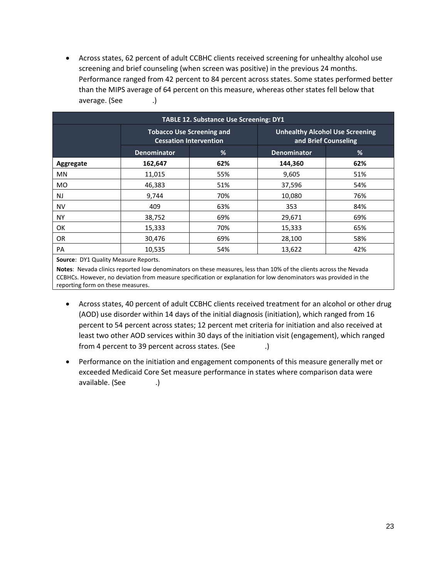• Across states, 62 percent of adult CCBHC clients received screening for unhealthy alcohol use screening and brief counseling (when screen was positive) in the previous 24 months. Performance ranged from 42 percent to 84 percent across states. Some states performed better than the MIPS average of 64 percent on this measure, whereas other states fell below that average. (See **122**.)

| <b>TABLE 12. Substance Use Screening: DY1</b> |                                                                   |     |                                                                |     |  |  |  |  |  |
|-----------------------------------------------|-------------------------------------------------------------------|-----|----------------------------------------------------------------|-----|--|--|--|--|--|
|                                               | <b>Tobacco Use Screening and</b><br><b>Cessation Intervention</b> |     | <b>Unhealthy Alcohol Use Screening</b><br>and Brief Counseling |     |  |  |  |  |  |
|                                               | <b>Denominator</b>                                                | %   | <b>Denominator</b>                                             | %   |  |  |  |  |  |
| Aggregate                                     | 162,647                                                           | 62% | 144,360                                                        | 62% |  |  |  |  |  |
| <b>MN</b>                                     | 11,015                                                            | 55% | 9,605                                                          | 51% |  |  |  |  |  |
| <b>MO</b>                                     | 46,383                                                            | 51% | 37,596                                                         | 54% |  |  |  |  |  |
| <b>NJ</b>                                     | 9,744                                                             | 70% | 10,080                                                         | 76% |  |  |  |  |  |
| <b>NV</b>                                     | 409                                                               | 63% | 353                                                            | 84% |  |  |  |  |  |
| <b>NY</b>                                     | 38,752                                                            | 69% | 29,671                                                         | 69% |  |  |  |  |  |
| OK                                            | 15,333                                                            | 70% | 15,333                                                         | 65% |  |  |  |  |  |
| OR.                                           | 30,476                                                            | 69% | 28,100                                                         | 58% |  |  |  |  |  |
| PA                                            | 10,535                                                            | 54% | 13,622                                                         | 42% |  |  |  |  |  |
| $-1$                                          |                                                                   |     |                                                                |     |  |  |  |  |  |

**Source**: DY1 Quality Measure Reports.

**Notes**: Nevada clinics reported low denominators on these measures, less than 10% of the clients across the Nevada CCBHCs. However, no deviation from measure specification or explanation for low denominators was provided in the reporting form on these measures.

- Across states, 40 percent of adult CCBHC clients received treatment for an alcohol or other drug (AOD) use disorder within 14 days of the initial diagnosis (initiation), which ranged from 16 percent to 54 percent across states; 12 percent met criteria for initiation and also received at least two other AOD services within 30 days of the initiation visit (engagement), which ranged from 4 percent to 39 percent across states. (See  $\qquad \qquad$ .)
- Performance on the initiation and engagement components of this measure generally met or exceeded Medicaid Core Set measure performance in states where comparison data were available. (See **TABLE** 13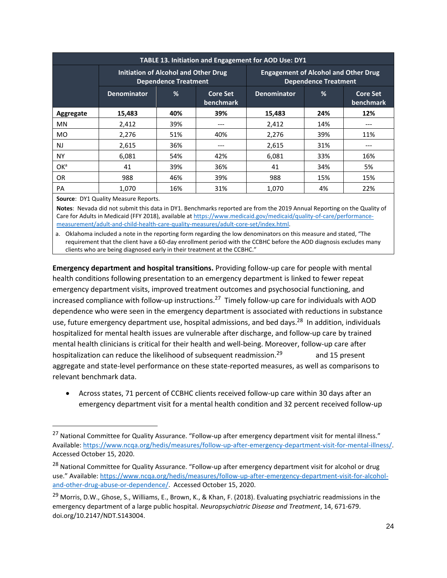| TABLE 13. Initiation and Engagement for AOD Use: DY1 |                    |                                                                            |                                     |                                                                            |     |                                     |  |  |  |
|------------------------------------------------------|--------------------|----------------------------------------------------------------------------|-------------------------------------|----------------------------------------------------------------------------|-----|-------------------------------------|--|--|--|
|                                                      |                    | <b>Initiation of Alcohol and Other Drug</b><br><b>Dependence Treatment</b> |                                     | <b>Engagement of Alcohol and Other Drug</b><br><b>Dependence Treatment</b> |     |                                     |  |  |  |
|                                                      | <b>Denominator</b> | %                                                                          | <b>Core Set</b><br><b>benchmark</b> | <b>Denominator</b>                                                         | %   | <b>Core Set</b><br><b>benchmark</b> |  |  |  |
| Aggregate                                            | 15,483             | 40%                                                                        | 39%                                 | 15,483                                                                     | 24% | 12%                                 |  |  |  |
| <b>MN</b>                                            | 2,412              | 39%                                                                        | ---                                 | 2,412                                                                      | 14% | ---                                 |  |  |  |
| <b>MO</b>                                            | 2,276              | 51%                                                                        | 40%                                 | 2,276                                                                      | 39% | 11%                                 |  |  |  |
| NJ                                                   | 2,615              | 36%                                                                        | ---                                 | 2,615                                                                      | 31% | ---                                 |  |  |  |
| <b>NY</b>                                            | 6,081              | 54%                                                                        | 42%                                 | 6,081                                                                      | 33% | 16%                                 |  |  |  |
| OK <sup>a</sup>                                      | 41                 | 39%                                                                        | 36%                                 | 41                                                                         | 34% | 5%                                  |  |  |  |
| <b>OR</b>                                            | 988                | 46%                                                                        | 39%                                 | 988                                                                        | 15% | 15%                                 |  |  |  |
| PA                                                   | 1.070              | 16%                                                                        | 31%                                 | 1.070                                                                      | 4%  | 22%                                 |  |  |  |

**Source**: DY1 Quality Measure Reports.

**Notes**: Nevada did not submit this data in DY1. Benchmarks reported are from the 2019 Annual Reporting on the Quality of Care for Adults in Medicaid (FFY 2018), available a[t https://www.medicaid.gov/medicaid/quality-of-care/performance](https://www.medicaid.gov/medicaid/quality-of-care/performance-measurement/adult-and-child-health-care-quality-measures/adult-core-set/index.html)[measurement/adult-and-child-health-care-quality-measures/adult-core-set/index.html.](https://www.medicaid.gov/medicaid/quality-of-care/performance-measurement/adult-and-child-health-care-quality-measures/adult-core-set/index.html)

a. Oklahoma included a note in the reporting form regarding the low denominators on this measure and stated, "The requirement that the client have a 60-day enrollment period with the CCBHC before the AOD diagnosis excludes many clients who are being diagnosed early in their treatment at the CCBHC."

**Emergency department and hospital transitions.** Providing follow-up care for people with mental health conditions following presentation to an emergency department is linked to fewer repeat emergency department visits, improved treatment outcomes and psychosocial functioning, and increased compliance with follow-up instructions.<sup>27</sup> Timely follow-up care for individuals with AOD dependence who were seen in the emergency department is associated with reductions in substance use, future emergency department use, hospital admissions, and bed days.<sup>28</sup> In addition, individuals hospitalized for mental health issues are vulnerable after discharge, and follow-up care by trained mental health clinicians is critical for their health and well-being. Moreover, follow-up care after hospitalization can reduce the likelihood of subsequent readmission.<sup>29</sup> and 15 present aggregate and state-level performance on these state-reported measures, as well as comparisons to relevant benchmark data.

• Across states, 71 percent of CCBHC clients received follow-up care within 30 days after an emergency department visit for a mental health condition and 32 percent received follow-up

<sup>&</sup>lt;sup>27</sup> National Committee for Quality Assurance. "Follow-up after emergency department visit for mental illness." Available: [https://www.ncqa.org/hedis/measures/follow-up-after-emergency-department-visit-for-mental-illness/.](https://www.ncqa.org/hedis/measures/follow-up-after-emergency-department-visit-for-mental-illness/) Accessed October 15, 2020.

<sup>&</sup>lt;sup>28</sup> National Committee for Quality Assurance. "Follow-up after emergency department visit for alcohol or drug use." Available: [https://www.ncqa.org/hedis/measures/follow-up-after-emergency-department-visit-for-alcohol](https://www.ncqa.org/hedis/measures/follow-up-after-emergency-department-visit-for-alcohol-and-other-drug-abuse-or-dependence/)[and-other-drug-abuse-or-dependence/.](https://www.ncqa.org/hedis/measures/follow-up-after-emergency-department-visit-for-alcohol-and-other-drug-abuse-or-dependence/) Accessed October 15, 2020.

<sup>&</sup>lt;sup>29</sup> Morris, D.W., Ghose, S., Williams, E., Brown, K., & Khan, F. (2018). Evaluating psychiatric readmissions in the emergency department of a large public hospital. *Neuropsychiatric Disease and Treatment*, 14, 671-679. doi.org/10.2147/NDT.S143004.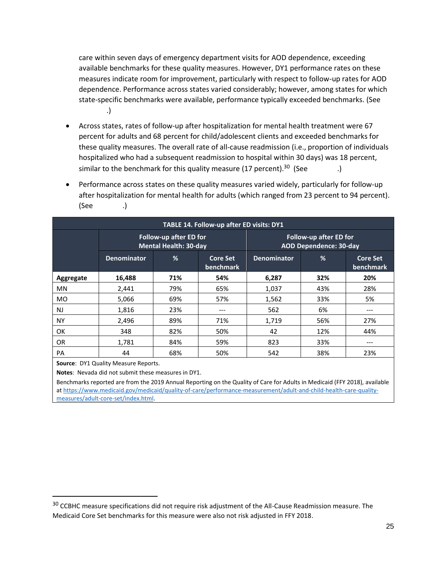care within seven days of emergency department visits for AOD dependence, exceeding available benchmarks for these quality measures. However, DY1 performance rates on these measures indicate room for improvement, particularly with respect to follow-up rates for AOD dependence. Performance across states varied considerably; however, among states for which state-specific benchmarks were available, performance typically exceeded benchmarks. (See **TABLE 14**.)

- Across states, rates of follow-up after hospitalization for mental health treatment were 67 percent for adults and 68 percent for child/adolescent clients and exceeded benchmarks for these quality measures. The overall rate of all-cause readmission (i.e., proportion of individuals hospitalized who had a subsequent readmission to hospital within 30 days) was 18 percent, similar to the benchmark for this quality measure (17 percent).<sup>30</sup> (See  $\qquad \qquad .$ )
- Performance across states on these quality measures varied widely, particularly for follow-up after hospitalization for mental health for adults (which ranged from 23 percent to 94 percent). (See .)

| TABLE 14. Follow-up after ED visits: DY1 |                    |                                                               |                                     |                                                                |     |                              |  |  |  |
|------------------------------------------|--------------------|---------------------------------------------------------------|-------------------------------------|----------------------------------------------------------------|-----|------------------------------|--|--|--|
|                                          |                    | <b>Follow-up after ED for</b><br><b>Mental Health: 30-day</b> |                                     | <b>Follow-up after ED for</b><br><b>AOD Dependence: 30-day</b> |     |                              |  |  |  |
|                                          | <b>Denominator</b> | %                                                             | <b>Core Set</b><br><b>benchmark</b> | <b>Denominator</b>                                             | %   | <b>Core Set</b><br>benchmark |  |  |  |
| Aggregate                                | 16,488             | 71%                                                           | 54%                                 | 6,287                                                          | 32% | 20%                          |  |  |  |
| <b>MN</b>                                | 2,441              | 79%                                                           | 65%                                 | 1,037                                                          | 43% | 28%                          |  |  |  |
| <b>MO</b>                                | 5,066              | 69%                                                           | 57%                                 | 1,562                                                          | 33% | 5%                           |  |  |  |
| NJ                                       | 1,816              | 23%                                                           |                                     | 562                                                            | 6%  | ---                          |  |  |  |
| <b>NY</b>                                | 2,496              | 89%                                                           | 71%                                 | 1,719                                                          | 56% | 27%                          |  |  |  |
| <b>OK</b>                                | 348                | 82%                                                           | 50%                                 | 42                                                             | 12% | 44%                          |  |  |  |
| <b>OR</b>                                | 1,781              | 84%                                                           | 59%                                 | 823                                                            | 33% | ---                          |  |  |  |
| PA                                       | 44                 | 68%                                                           | 50%                                 | 542                                                            | 38% | 23%                          |  |  |  |

**Source**: DY1 Quality Measure Reports.

**Notes**: Nevada did not submit these measures in DY1.

Benchmarks reported are from the 2019 Annual Reporting on the Quality of Care for Adults in Medicaid (FFY 2018), available at [https://www.medicaid.gov/medicaid/quality-of-care/performance-measurement/adult-and-child-health-care-quality](https://www.medicaid.gov/medicaid/quality-of-care/performance-measurement/adult-and-child-health-care-quality-measures/adult-core-set/index.html)[measures/adult-core-set/index.html.](https://www.medicaid.gov/medicaid/quality-of-care/performance-measurement/adult-and-child-health-care-quality-measures/adult-core-set/index.html)

<sup>&</sup>lt;sup>30</sup> CCBHC measure specifications did not require risk adjustment of the All-Cause Readmission measure. The Medicaid Core Set benchmarks for this measure were also not risk adjusted in FFY 2018.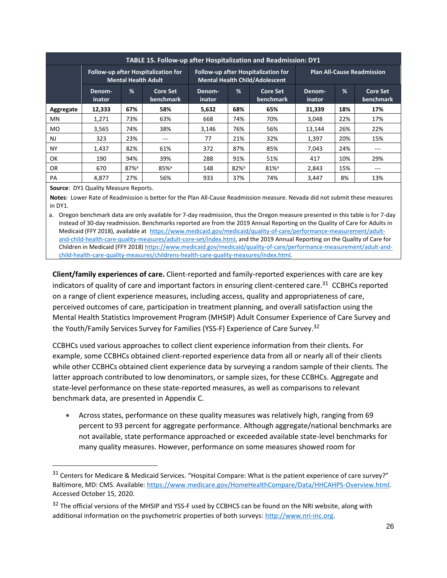| <b>TABLE 15. Follow-up after Hospitalization and Readmission: DY1</b> |                                                                   |                    |                              |                                                                                     |                     |                              |                                   |     |                              |
|-----------------------------------------------------------------------|-------------------------------------------------------------------|--------------------|------------------------------|-------------------------------------------------------------------------------------|---------------------|------------------------------|-----------------------------------|-----|------------------------------|
|                                                                       | Follow-up after Hospitalization for<br><b>Mental Health Adult</b> |                    |                              | <b>Follow-up after Hospitalization for</b><br><b>Mental Health Child/Adolescent</b> |                     |                              | <b>Plan All-Cause Readmission</b> |     |                              |
|                                                                       | Denom-<br><i>inator</i>                                           | %                  | <b>Core Set</b><br>benchmark | Denom-<br>inator                                                                    | %                   | <b>Core Set</b><br>benchmark | Denom-<br>inator                  | %   | <b>Core Set</b><br>benchmark |
| Aggregate                                                             | 12,333                                                            | 67%                | 58%                          | 5,632                                                                               | 68%                 | 65%                          | 31,339                            | 18% | 17%                          |
| MN                                                                    | 1,271                                                             | 73%                | 63%                          | 668                                                                                 | 74%                 | 70%                          | 3,048                             | 22% | 17%                          |
| MO.                                                                   | 3,565                                                             | 74%                | 38%                          | 3,146                                                                               | 76%                 | 56%                          | 13.144                            | 26% | 22%                          |
| <b>NJ</b>                                                             | 323                                                               | 23%                | ---                          | 77                                                                                  | 21%                 | 32%                          | 1,397                             | 20% | 15%                          |
| <b>NY</b>                                                             | 1.437                                                             | 82%                | 61%                          | 372                                                                                 | 87%                 | 85%                          | 7,043                             | 24% | ---                          |
| OK                                                                    | 190                                                               | 94%                | 39%                          | 288                                                                                 | 91%                 | 51%                          | 417                               | 10% | 29%                          |
| 0R                                                                    | 670                                                               | $87%$ <sup>a</sup> | $85%$ <sup>a</sup>           | 148                                                                                 | $82\%$ <sup>a</sup> | $81\%$ <sup>a</sup>          | 2,843                             | 15% | ---                          |
| PA                                                                    | 4.877                                                             | 27%                | 56%                          | 933                                                                                 | 37%                 | 74%                          | 3.447                             | 8%  | 13%                          |

**Source**: DY1 Quality Measure Reports.

**Notes**: Lower Rate of Readmission is better for the Plan All-Cause Readmission measure. Nevada did not submit these measures in DY1.

a. Oregon benchmark data are only available for 7-day readmission, thus the Oregon measure presented in this table is for 7-day instead of 30-day readmission. Benchmarks reported are from the 2019 Annual Reporting on the Quality of Care for Adults in Medicaid (FFY 2018), available at [https://www.medicaid.gov/medicaid/quality-of-care/performance-measurement/adult](https://www.medicaid.gov/medicaid/quality-of-care/performance-measurement/adult-and-child-health-care-quality-measures/adult-core-set/index.html)[and-child-health-care-quality-measures/adult-core-set/index.html,](https://www.medicaid.gov/medicaid/quality-of-care/performance-measurement/adult-and-child-health-care-quality-measures/adult-core-set/index.html) and the 2019 Annual Reporting on the Quality of Care for Children in Medicaid (FFY 2018[\) https://www.medicaid.gov/medicaid/quality-of-care/performance-measurement/adult-and](https://www.medicaid.gov/medicaid/quality-of-care/performance-measurement/adult-and-child-health-care-quality-measures/childrens-health-care-quality-measures/index.html)[child-health-care-quality-measures/childrens-health-care-quality-measures/index.html.](https://www.medicaid.gov/medicaid/quality-of-care/performance-measurement/adult-and-child-health-care-quality-measures/childrens-health-care-quality-measures/index.html)

**Client/family experiences of care.** Client-reported and family-reported experiences with care are key indicators of quality of care and important factors in ensuring client-centered care.<sup>31</sup> CCBHCs reported on a range of client experience measures, including access, quality and appropriateness of care, perceived outcomes of care, participation in treatment planning, and overall satisfaction using the Mental Health Statistics Improvement Program (MHSIP) Adult Consumer Experience of Care Survey and the Youth/Family Services Survey for Families (YSS-F) Experience of Care Survey.<sup>32</sup>

CCBHCs used various approaches to collect client experience information from their clients. For example, some CCBHCs obtained client-reported experience data from all or nearly all of their clients while other CCBHCs obtained client experience data by surveying a random sample of their clients. The latter approach contributed to low denominators, or sample sizes, for these CCBHCs. Aggregate and state-level performance on these state-reported measures, as well as comparisons to relevant benchmark data, are presented in Appendix C.

• Across states, performance on these quality measures was relatively high, ranging from 69 percent to 93 percent for aggregate performance. Although aggregate/national benchmarks are not available, state performance approached or exceeded available state-level benchmarks for many quality measures. However, performance on some measures showed room for

<sup>&</sup>lt;sup>31</sup> Centers for Medicare & Medicaid Services. "Hospital Compare: What is the patient experience of care survey?" Baltimore, MD: CMS. Available[: https://www.medicare.gov/HomeHealthCompare/Data/HHCAHPS-Overview.html.](https://www.medicare.gov/HomeHealthCompare/Data/HHCAHPS-Overview.html) Accessed October 15, 2020.

<sup>&</sup>lt;sup>32</sup> The official versions of the MHSIP and YSS-F used by CCBHCS can be found on the NRI website, along with additional information on the psychometric properties of both surveys: [http://www.nri-inc.org.](http://www.nri-inc.org/)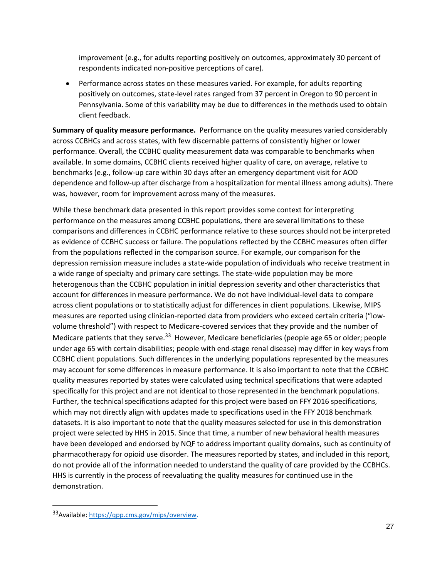improvement (e.g., for adults reporting positively on outcomes, approximately 30 percent of respondents indicated non-positive perceptions of care).

• Performance across states on these measures varied. For example, for adults reporting positively on outcomes, state-level rates ranged from 37 percent in Oregon to 90 percent in Pennsylvania. Some of this variability may be due to differences in the methods used to obtain client feedback.

**Summary of quality measure performance.** Performance on the quality measures varied considerably across CCBHCs and across states, with few discernable patterns of consistently higher or lower performance. Overall, the CCBHC quality measurement data was comparable to benchmarks when available. In some domains, CCBHC clients received higher quality of care, on average, relative to benchmarks (e.g., follow-up care within 30 days after an emergency department visit for AOD dependence and follow-up after discharge from a hospitalization for mental illness among adults). There was, however, room for improvement across many of the measures.

While these benchmark data presented in this report provides some context for interpreting performance on the measures among CCBHC populations, there are several limitations to these comparisons and differences in CCBHC performance relative to these sources should not be interpreted as evidence of CCBHC success or failure. The populations reflected by the CCBHC measures often differ from the populations reflected in the comparison source. For example, our comparison for the depression remission measure includes a state-wide population of individuals who receive treatment in a wide range of specialty and primary care settings. The state-wide population may be more heterogenous than the CCBHC population in initial depression severity and other characteristics that account for differences in measure performance. We do not have individual-level data to compare across client populations or to statistically adjust for differences in client populations. Likewise, MIPS measures are reported using clinician-reported data from providers who exceed certain criteria ("lowvolume threshold") with respect to Medicare-covered services that they provide and the number of Medicare patients that they serve.<sup>33</sup> However, Medicare beneficiaries (people age 65 or older; people under age 65 with certain disabilities; people with end-stage renal disease) may differ in key ways from CCBHC client populations. Such differences in the underlying populations represented by the measures may account for some differences in measure performance. It is also important to note that the CCBHC quality measures reported by states were calculated using technical specifications that were adapted specifically for this project and are not identical to those represented in the benchmark populations. Further, the technical specifications adapted for this project were based on FFY 2016 specifications, which may not directly align with updates made to specifications used in the FFY 2018 benchmark datasets. It is also important to note that the quality measures selected for use in this demonstration project were selected by HHS in 2015. Since that time, a number of new behavioral health measures have been developed and endorsed by NQF to address important quality domains, such as continuity of pharmacotherapy for opioid use disorder. The measures reported by states, and included in this report, do not provide all of the information needed to understand the quality of care provided by the CCBHCs. HHS is currently in the process of reevaluating the quality measures for continued use in the demonstration.

<sup>33</sup>Available: [https://qpp.cms.gov/mips/overview.](https://qpp.cms.gov/mips/overview)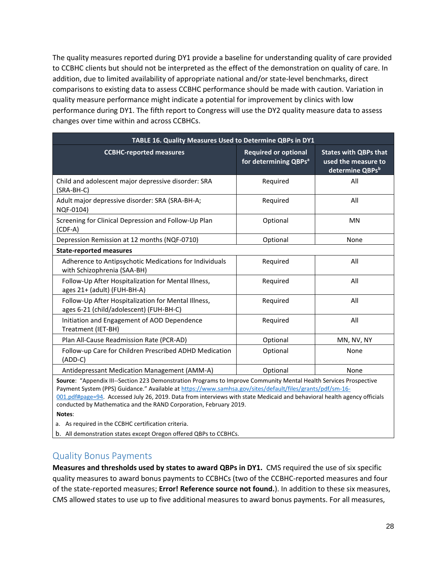The quality measures reported during DY1 provide a baseline for understanding quality of care provided to CCBHC clients but should not be interpreted as the effect of the demonstration on quality of care. In addition, due to limited availability of appropriate national and/or state-level benchmarks, direct comparisons to existing data to assess CCBHC performance should be made with caution. Variation in quality measure performance might indicate a potential for improvement by clinics with low performance during DY1. The fifth report to Congress will use the DY2 quality measure data to assess changes over time within and across CCBHCs.

| TABLE 16. Quality Measures Used to Determine QBPs in DY1                                       |                                                                  |                                                                        |  |  |  |  |  |  |
|------------------------------------------------------------------------------------------------|------------------------------------------------------------------|------------------------------------------------------------------------|--|--|--|--|--|--|
| <b>CCBHC-reported measures</b>                                                                 | <b>Required or optional</b><br>for determining QBPs <sup>a</sup> | <b>States with QBPs that</b><br>used the measure to<br>determine QBPsb |  |  |  |  |  |  |
| Child and adolescent major depressive disorder: SRA<br>(SRA-BH-C)                              | Required                                                         | All                                                                    |  |  |  |  |  |  |
| Adult major depressive disorder: SRA (SRA-BH-A;<br>NQF-0104)                                   | Required                                                         | All                                                                    |  |  |  |  |  |  |
| Screening for Clinical Depression and Follow-Up Plan<br>$(CDF-A)$                              | Optional                                                         | <b>MN</b>                                                              |  |  |  |  |  |  |
| Depression Remission at 12 months (NQF-0710)                                                   | Optional                                                         | None                                                                   |  |  |  |  |  |  |
| <b>State-reported measures</b>                                                                 |                                                                  |                                                                        |  |  |  |  |  |  |
| Adherence to Antipsychotic Medications for Individuals<br>with Schizophrenia (SAA-BH)          | Required                                                         | All                                                                    |  |  |  |  |  |  |
| Follow-Up After Hospitalization for Mental Illness,<br>ages 21+ (adult) (FUH-BH-A)             | Required                                                         | All                                                                    |  |  |  |  |  |  |
| Follow-Up After Hospitalization for Mental Illness,<br>ages 6-21 (child/adolescent) (FUH-BH-C) | Required                                                         | All                                                                    |  |  |  |  |  |  |
| Initiation and Engagement of AOD Dependence<br>Treatment (IET-BH)                              | Required                                                         | All                                                                    |  |  |  |  |  |  |
| Plan All-Cause Readmission Rate (PCR-AD)                                                       | Optional                                                         | MN, NV, NY                                                             |  |  |  |  |  |  |
| Follow-up Care for Children Prescribed ADHD Medication<br>$(ADD-C)$                            | Optional                                                         | None                                                                   |  |  |  |  |  |  |
| Antidepressant Medication Management (AMM-A)                                                   | Optional                                                         | None                                                                   |  |  |  |  |  |  |

**Source**: "Appendix III--Section 223 Demonstration Programs to Improve Community Mental Health Services Prospective Payment System (PPS) Guidance." Available at [https://www.samhsa.gov/sites/default/files/grants/pdf/sm-16-](https://www.samhsa.gov/sites/default/files/grants/pdf/sm-16-001.pdf#page=94)

[001.pdf#page=94.](https://www.samhsa.gov/sites/default/files/grants/pdf/sm-16-001.pdf#page=94) Accessed July 26, 2019. Data from interviews with state Medicaid and behavioral health agency officials conducted by Mathematica and the RAND Corporation, February 2019.

**Notes**:

a. As required in the CCBHC certification criteria.

b. All demonstration states except Oregon offered QBPs to CCBHCs.

#### Quality Bonus Payments

**Measures and thresholds used by states to award QBPs in DY1.** CMS required the use of six specific quality measures to award bonus payments to CCBHCs (two of the CCBHC-reported measures and four of the state-reported measures; **Error! Reference source not found.**). In addition to these six measures, CMS allowed states to use up to five additional measures to award bonus payments. For all measures,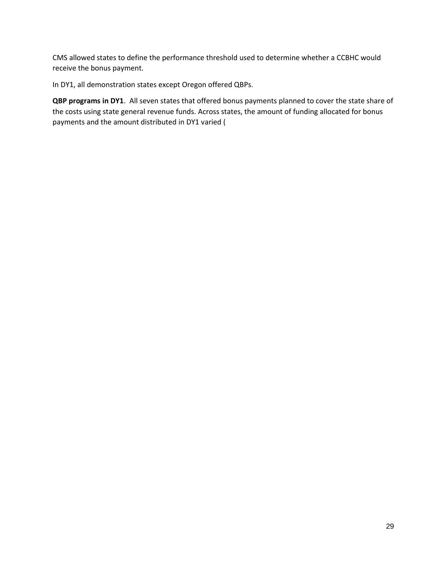CMS allowed states to define the performance threshold used to determine whether a CCBHC would receive the bonus payment.

In DY1, all demonstration states except Oregon offered QBPs.

**QBP programs in DY1**. All seven states that offered bonus payments planned to cover the state share of the costs using state general revenue funds. Across states, the amount of funding allocated for bonus payments and the amount distributed in DY1 varied (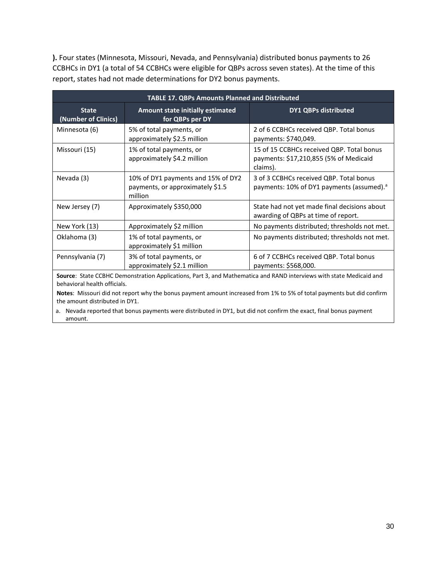**).** Four states (Minnesota, Missouri, Nevada, and Pennsylvania) distributed bonus payments to 26 CCBHCs in DY1 (a total of 54 CCBHCs were eligible for QBPs across seven states). At the time of this report, states had not made determinations for DY2 bonus payments.

|                                     | <b>TABLE 17. QBPs Amounts Planned and Distributed</b>                             |                                                                                                  |
|-------------------------------------|-----------------------------------------------------------------------------------|--------------------------------------------------------------------------------------------------|
| <b>State</b><br>(Number of Clinics) | <b>Amount state initially estimated</b><br>for QBPs per DY                        | <b>DY1 QBPs distributed</b>                                                                      |
| Minnesota (6)                       | 5% of total payments, or<br>approximately \$2.5 million                           | 2 of 6 CCBHCs received QBP. Total bonus<br>payments: \$740,049.                                  |
| Missouri (15)                       | 1% of total payments, or<br>approximately \$4.2 million                           | 15 of 15 CCBHCs received QBP. Total bonus<br>payments: \$17,210,855 (5% of Medicaid<br>claims).  |
| Nevada (3)                          | 10% of DY1 payments and 15% of DY2<br>payments, or approximately \$1.5<br>million | 3 of 3 CCBHCs received QBP. Total bonus<br>payments: 10% of DY1 payments (assumed). <sup>a</sup> |
| New Jersey (7)                      | Approximately \$350,000                                                           | State had not yet made final decisions about<br>awarding of QBPs at time of report.              |
| New York (13)                       | Approximately \$2 million                                                         | No payments distributed; thresholds not met.                                                     |
| Oklahoma (3)                        | 1% of total payments, or<br>approximately \$1 million                             | No payments distributed; thresholds not met.                                                     |
| Pennsylvania (7)                    | 3% of total payments, or<br>approximately \$2.1 million                           | 6 of 7 CCBHCs received QBP. Total bonus<br>payments: \$568,000.                                  |

**Source**: State CCBHC Demonstration Applications, Part 3, and Mathematica and RAND interviews with state Medicaid and behavioral health officials.

**Notes**: Missouri did not report why the bonus payment amount increased from 1% to 5% of total payments but did confirm the amount distributed in DY1.

a. Nevada reported that bonus payments were distributed in DY1, but did not confirm the exact, final bonus payment amount.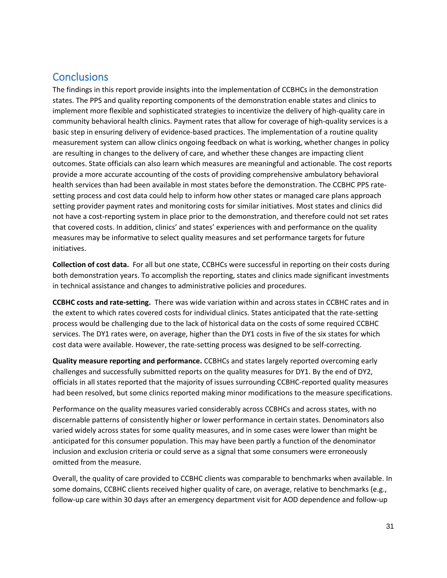#### **Conclusions**

The findings in this report provide insights into the implementation of CCBHCs in the demonstration states. The PPS and quality reporting components of the demonstration enable states and clinics to implement more flexible and sophisticated strategies to incentivize the delivery of high-quality care in community behavioral health clinics. Payment rates that allow for coverage of high-quality services is a basic step in ensuring delivery of evidence-based practices. The implementation of a routine quality measurement system can allow clinics ongoing feedback on what is working, whether changes in policy are resulting in changes to the delivery of care, and whether these changes are impacting client outcomes. State officials can also learn which measures are meaningful and actionable. The cost reports provide a more accurate accounting of the costs of providing comprehensive ambulatory behavioral health services than had been available in most states before the demonstration. The CCBHC PPS ratesetting process and cost data could help to inform how other states or managed care plans approach setting provider payment rates and monitoring costs for similar initiatives. Most states and clinics did not have a cost-reporting system in place prior to the demonstration, and therefore could not set rates that covered costs. In addition, clinics' and states' experiences with and performance on the quality measures may be informative to select quality measures and set performance targets for future initiatives.

**Collection of cost data.** For all but one state, CCBHCs were successful in reporting on their costs during both demonstration years. To accomplish the reporting, states and clinics made significant investments in technical assistance and changes to administrative policies and procedures.

**CCBHC costs and rate-setting.** There was wide variation within and across states in CCBHC rates and in the extent to which rates covered costs for individual clinics. States anticipated that the rate-setting process would be challenging due to the lack of historical data on the costs of some required CCBHC services. The DY1 rates were, on average, higher than the DY1 costs in five of the six states for which cost data were available. However, the rate-setting process was designed to be self-correcting.

**Quality measure reporting and performance.** CCBHCs and states largely reported overcoming early challenges and successfully submitted reports on the quality measures for DY1. By the end of DY2, officials in all states reported that the majority of issues surrounding CCBHC-reported quality measures had been resolved, but some clinics reported making minor modifications to the measure specifications.

Performance on the quality measures varied considerably across CCBHCs and across states, with no discernable patterns of consistently higher or lower performance in certain states. Denominators also varied widely across states for some quality measures, and in some cases were lower than might be anticipated for this consumer population. This may have been partly a function of the denominator inclusion and exclusion criteria or could serve as a signal that some consumers were erroneously omitted from the measure.

Overall, the quality of care provided to CCBHC clients was comparable to benchmarks when available. In some domains, CCBHC clients received higher quality of care, on average, relative to benchmarks (e.g., follow-up care within 30 days after an emergency department visit for AOD dependence and follow-up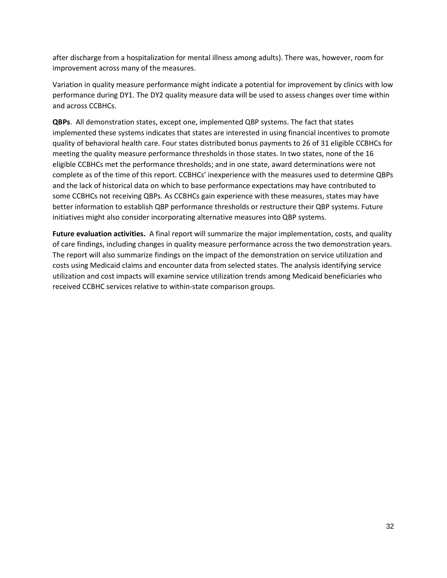after discharge from a hospitalization for mental illness among adults). There was, however, room for improvement across many of the measures.

Variation in quality measure performance might indicate a potential for improvement by clinics with low performance during DY1. The DY2 quality measure data will be used to assess changes over time within and across CCBHCs.

**QBPs**. All demonstration states, except one, implemented QBP systems. The fact that states implemented these systems indicates that states are interested in using financial incentives to promote quality of behavioral health care. Four states distributed bonus payments to 26 of 31 eligible CCBHCs for meeting the quality measure performance thresholds in those states. In two states, none of the 16 eligible CCBHCs met the performance thresholds; and in one state, award determinations were not complete as of the time of this report. CCBHCs' inexperience with the measures used to determine QBPs and the lack of historical data on which to base performance expectations may have contributed to some CCBHCs not receiving QBPs. As CCBHCs gain experience with these measures, states may have better information to establish QBP performance thresholds or restructure their QBP systems. Future initiatives might also consider incorporating alternative measures into QBP systems.

**Future evaluation activities.** A final report will summarize the major implementation, costs, and quality of care findings, including changes in quality measure performance across the two demonstration years. The report will also summarize findings on the impact of the demonstration on service utilization and costs using Medicaid claims and encounter data from selected states. The analysis identifying service utilization and cost impacts will examine service utilization trends among Medicaid beneficiaries who received CCBHC services relative to within-state comparison groups.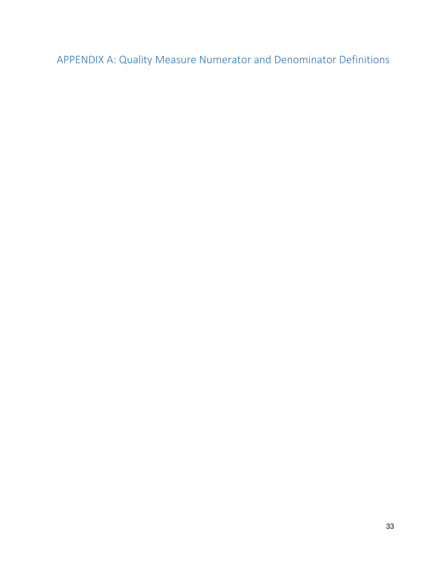APPENDIX A: Quality Measure Numerator and Denominator Definitions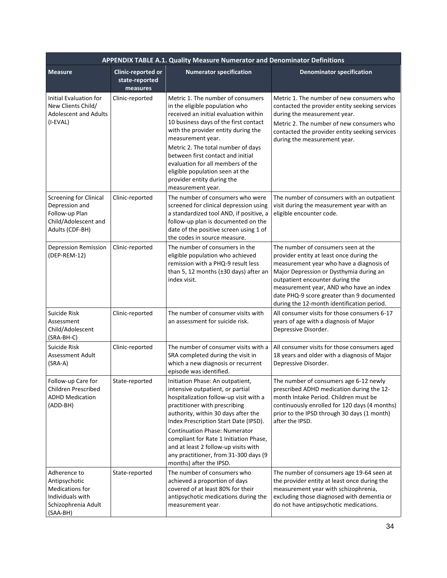|                                                                                                              |                                                         | APPENDIX TABLE A.1. Quality Measure Numerator and Denominator Definitions                                                                                                                                                                                                                                                                                                                                                     |                                                                                                                                                                                                                                                                                                                                                  |
|--------------------------------------------------------------------------------------------------------------|---------------------------------------------------------|-------------------------------------------------------------------------------------------------------------------------------------------------------------------------------------------------------------------------------------------------------------------------------------------------------------------------------------------------------------------------------------------------------------------------------|--------------------------------------------------------------------------------------------------------------------------------------------------------------------------------------------------------------------------------------------------------------------------------------------------------------------------------------------------|
| <b>Measure</b>                                                                                               | <b>Clinic-reported or</b><br>state-reported<br>measures | <b>Numerator specification</b>                                                                                                                                                                                                                                                                                                                                                                                                | <b>Denominator specification</b>                                                                                                                                                                                                                                                                                                                 |
| <b>Initial Evaluation for</b><br>New Clients Child/<br><b>Adolescent and Adults</b><br>(I-EVAL)              | Clinic-reported                                         | Metric 1. The number of consumers<br>in the eligible population who<br>received an initial evaluation within<br>10 business days of the first contact<br>with the provider entity during the<br>measurement year.<br>Metric 2. The total number of days<br>between first contact and initial<br>evaluation for all members of the<br>eligible population seen at the<br>provider entity during the<br>measurement year.       | Metric 1. The number of new consumers who<br>contacted the provider entity seeking services<br>during the measurement year.<br>Metric 2. The number of new consumers who<br>contacted the provider entity seeking services<br>during the measurement year.                                                                                       |
| <b>Screening for Clinical</b><br>Depression and<br>Follow-up Plan<br>Child/Adolescent and<br>Adults (CDF-BH) | Clinic-reported                                         | The number of consumers who were<br>screened for clinical depression using<br>a standardized tool AND, if positive, a<br>follow-up plan is documented on the<br>date of the positive screen using 1 of<br>the codes in source measure.                                                                                                                                                                                        | The number of consumers with an outpatient<br>visit during the measurement year with an<br>eligible encounter code.                                                                                                                                                                                                                              |
| <b>Depression Remission</b><br>(DEP-REM-12)                                                                  | Clinic-reported                                         | The number of consumers in the<br>eligible population who achieved<br>remission with a PHQ-9 result less<br>than 5, 12 months (±30 days) after an<br>index visit.                                                                                                                                                                                                                                                             | The number of consumers seen at the<br>provider entity at least once during the<br>measurement year who have a diagnosis of<br>Major Depression or Dysthymia during an<br>outpatient encounter during the<br>measurement year, AND who have an index<br>date PHQ-9 score greater than 9 documented<br>during the 12-month identification period. |
| Suicide Risk<br>Assessment<br>Child/Adolescent<br>(SRA-BH-C)                                                 | Clinic-reported                                         | The number of consumer visits with<br>an assessment for suicide risk.                                                                                                                                                                                                                                                                                                                                                         | All consumer visits for those consumers 6-17<br>years of age with a diagnosis of Major<br>Depressive Disorder.                                                                                                                                                                                                                                   |
| Suicide Risk<br>Assessment Adult<br>$(SRA-A)$                                                                | Clinic-reported                                         | The number of consumer visits with a<br>SRA completed during the visit in<br>which a new diagnosis or recurrent<br>episode was identified.                                                                                                                                                                                                                                                                                    | All consumer visits for those consumers aged<br>18 years and older with a diagnosis of Major<br>Depressive Disorder.                                                                                                                                                                                                                             |
| Follow-up Care for<br>Children Prescribed<br><b>ADHD Medication</b><br>(ADD-BH)                              | State-reported                                          | Initiation Phase: An outpatient,<br>intensive outpatient, or partial<br>hospitalization follow-up visit with a<br>practitioner with prescribing<br>authority, within 30 days after the<br>Index Prescription Start Date (IPSD).<br><b>Continuation Phase: Numerator</b><br>compliant for Rate 1 Initiation Phase,<br>and at least 2 follow-up visits with<br>any practitioner, from 31-300 days (9<br>months) after the IPSD. | The number of consumers age 6-12 newly<br>prescribed ADHD medication during the 12-<br>month Intake Period. Children must be<br>continuously enrolled for 120 days (4 months)<br>prior to the IPSD through 30 days (1 month)<br>after the IPSD.                                                                                                  |
| Adherence to<br>Antipsychotic<br>Medications for<br>Individuals with<br>Schizophrenia Adult<br>(SAA-BH)      | State-reported                                          | The number of consumers who<br>achieved a proportion of days<br>covered of at least 80% for their<br>antipsychotic medications during the<br>measurement year.                                                                                                                                                                                                                                                                | The number of consumers age 19-64 seen at<br>the provider entity at least once during the<br>measurement year with schizophrenia,<br>excluding those diagnosed with dementia or<br>do not have antipsychotic medications.                                                                                                                        |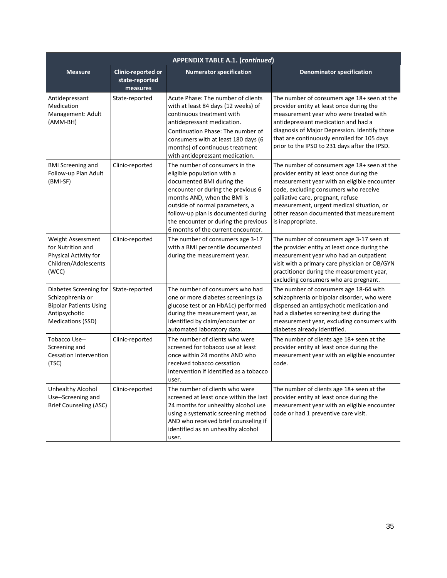|                                                                                                                   |                                                         | <b>APPENDIX TABLE A.1. (continued)</b>                                                                                                                                                                                                                                                                                 |                                                                                                                                                                                                                                                                                                                                    |
|-------------------------------------------------------------------------------------------------------------------|---------------------------------------------------------|------------------------------------------------------------------------------------------------------------------------------------------------------------------------------------------------------------------------------------------------------------------------------------------------------------------------|------------------------------------------------------------------------------------------------------------------------------------------------------------------------------------------------------------------------------------------------------------------------------------------------------------------------------------|
| <b>Measure</b>                                                                                                    | <b>Clinic-reported or</b><br>state-reported<br>measures | <b>Numerator specification</b>                                                                                                                                                                                                                                                                                         | <b>Denominator specification</b>                                                                                                                                                                                                                                                                                                   |
| Antidepressant<br>Medication<br>Management: Adult<br>(AMM-BH)                                                     | State-reported                                          | Acute Phase: The number of clients<br>with at least 84 days (12 weeks) of<br>continuous treatment with<br>antidepressant medication.<br>Continuation Phase: The number of<br>consumers with at least 180 days (6<br>months) of continuous treatment<br>with antidepressant medication.                                 | The number of consumers age 18+ seen at the<br>provider entity at least once during the<br>measurement year who were treated with<br>antidepressant medication and had a<br>diagnosis of Major Depression. Identify those<br>that are continuously enrolled for 105 days<br>prior to the IPSD to 231 days after the IPSD.          |
| <b>BMI Screening and</b><br>Follow-up Plan Adult<br>(BMI-SF)                                                      | Clinic-reported                                         | The number of consumers in the<br>eligible population with a<br>documented BMI during the<br>encounter or during the previous 6<br>months AND, when the BMI is<br>outside of normal parameters, a<br>follow-up plan is documented during<br>the encounter or during the previous<br>6 months of the current encounter. | The number of consumers age 18+ seen at the<br>provider entity at least once during the<br>measurement year with an eligible encounter<br>code, excluding consumers who receive<br>palliative care, pregnant, refuse<br>measurement, urgent medical situation, or<br>other reason documented that measurement<br>is inappropriate. |
| Weight Assessment<br>for Nutrition and<br>Physical Activity for<br>Children/Adolescents<br>(WCC)                  | Clinic-reported                                         | The number of consumers age 3-17<br>with a BMI percentile documented<br>during the measurement year.                                                                                                                                                                                                                   | The number of consumers age 3-17 seen at<br>the provider entity at least once during the<br>measurement year who had an outpatient<br>visit with a primary care physician or OB/GYN<br>practitioner during the measurement year,<br>excluding consumers who are pregnant.                                                          |
| Diabetes Screening for<br>Schizophrenia or<br><b>Bipolar Patients Using</b><br>Antipsychotic<br>Medications (SSD) | State-reported                                          | The number of consumers who had<br>one or more diabetes screenings (a<br>glucose test or an HbA1c) performed<br>during the measurement year, as<br>identified by claim/encounter or<br>automated laboratory data.                                                                                                      | The number of consumers age 18-64 with<br>schizophrenia or bipolar disorder, who were<br>dispensed an antipsychotic medication and<br>had a diabetes screening test during the<br>measurement year, excluding consumers with<br>diabetes already identified.                                                                       |
| Tobacco Use--<br>Screening and<br><b>Cessation Intervention</b><br>(TSC)                                          | Clinic-reported                                         | The number of clients who were<br>screened for tobacco use at least<br>once within 24 months AND who<br>received tobacco cessation<br>intervention if identified as a tobacco<br>user.                                                                                                                                 | The number of clients age 18+ seen at the<br>provider entity at least once during the<br>measurement year with an eligible encounter<br>code.                                                                                                                                                                                      |
| Unhealthy Alcohol<br>Use--Screening and<br><b>Brief Counseling (ASC)</b>                                          | Clinic-reported                                         | The number of clients who were<br>screened at least once within the last<br>24 months for unhealthy alcohol use<br>using a systematic screening method<br>AND who received brief counseling if<br>identified as an unhealthy alcohol<br>user.                                                                          | The number of clients age 18+ seen at the<br>provider entity at least once during the<br>measurement year with an eligible encounter<br>code or had 1 preventive care visit.                                                                                                                                                       |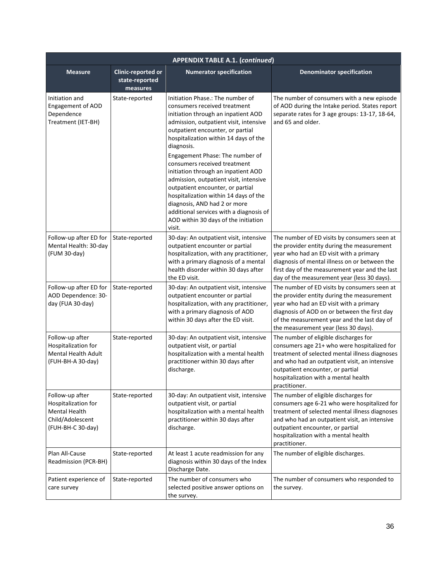|                                                                                                  |                                                  | <b>APPENDIX TABLE A.1. (continued)</b>                                                                                                                                                                                                                                                                                                                                                                                                                                                                                                                                                                     |                                                                                                                                                                                                                                                                                         |
|--------------------------------------------------------------------------------------------------|--------------------------------------------------|------------------------------------------------------------------------------------------------------------------------------------------------------------------------------------------------------------------------------------------------------------------------------------------------------------------------------------------------------------------------------------------------------------------------------------------------------------------------------------------------------------------------------------------------------------------------------------------------------------|-----------------------------------------------------------------------------------------------------------------------------------------------------------------------------------------------------------------------------------------------------------------------------------------|
| <b>Measure</b>                                                                                   | Clinic-reported or<br>state-reported<br>measures | <b>Numerator specification</b>                                                                                                                                                                                                                                                                                                                                                                                                                                                                                                                                                                             | <b>Denominator specification</b>                                                                                                                                                                                                                                                        |
| Initiation and<br><b>Engagement of AOD</b><br>Dependence<br>Treatment (IET-BH)                   | State-reported                                   | Initiation Phase.: The number of<br>consumers received treatment<br>initiation through an inpatient AOD<br>admission, outpatient visit, intensive<br>outpatient encounter, or partial<br>hospitalization within 14 days of the<br>diagnosis.<br>Engagement Phase: The number of<br>consumers received treatment<br>initiation through an inpatient AOD<br>admission, outpatient visit, intensive<br>outpatient encounter, or partial<br>hospitalization within 14 days of the<br>diagnosis, AND had 2 or more<br>additional services with a diagnosis of<br>AOD within 30 days of the initiation<br>visit. | The number of consumers with a new episode<br>of AOD during the Intake period. States report<br>separate rates for 3 age groups: 13-17, 18-64,<br>and 65 and older.                                                                                                                     |
| Follow-up after ED for<br>Mental Health: 30-day<br>(FUM 30-day)                                  | State-reported                                   | 30-day: An outpatient visit, intensive<br>outpatient encounter or partial<br>hospitalization, with any practitioner,<br>with a primary diagnosis of a mental<br>health disorder within 30 days after<br>the ED visit.                                                                                                                                                                                                                                                                                                                                                                                      | The number of ED visits by consumers seen at<br>the provider entity during the measurement<br>year who had an ED visit with a primary<br>diagnosis of mental illness on or between the<br>first day of the measurement year and the last<br>day of the measurement year (less 30 days). |
| Follow-up after ED for<br>AOD Dependence: 30-<br>day (FUA 30-day)                                | State-reported                                   | 30-day: An outpatient visit, intensive<br>outpatient encounter or partial<br>hospitalization, with any practitioner,<br>with a primary diagnosis of AOD<br>within 30 days after the ED visit.                                                                                                                                                                                                                                                                                                                                                                                                              | The number of ED visits by consumers seen at<br>the provider entity during the measurement<br>year who had an ED visit with a primary<br>diagnosis of AOD on or between the first day<br>of the measurement year and the last day of<br>the measurement year (less 30 days).            |
| Follow-up after<br>Hospitalization for<br><b>Mental Health Adult</b><br>(FUH-BH-A 30-day)        | State-reported                                   | 30-day: An outpatient visit, intensive<br>outpatient visit, or partial<br>hospitalization with a mental health<br>practitioner within 30 days after<br>discharge.                                                                                                                                                                                                                                                                                                                                                                                                                                          | The number of eligible discharges for<br>consumers age 21+ who were hospitalized for<br>treatment of selected mental illness diagnoses<br>and who had an outpatient visit, an intensive<br>outpatient encounter, or partial<br>hospitalization with a mental health<br>practitioner.    |
| Follow-up after<br>Hospitalization for<br>Mental Health<br>Child/Adolescent<br>(FUH-BH-C 30-day) | State-reported                                   | 30-day: An outpatient visit, intensive<br>outpatient visit, or partial<br>hospitalization with a mental health<br>practitioner within 30 days after<br>discharge.                                                                                                                                                                                                                                                                                                                                                                                                                                          | The number of eligible discharges for<br>consumers age 6-21 who were hospitalized for<br>treatment of selected mental illness diagnoses<br>and who had an outpatient visit, an intensive<br>outpatient encounter, or partial<br>hospitalization with a mental health<br>practitioner.   |
| Plan All-Cause<br>Readmission (PCR-BH)                                                           | State-reported                                   | At least 1 acute readmission for any<br>diagnosis within 30 days of the Index<br>Discharge Date.                                                                                                                                                                                                                                                                                                                                                                                                                                                                                                           | The number of eligible discharges.                                                                                                                                                                                                                                                      |
| Patient experience of<br>care survey                                                             | State-reported                                   | The number of consumers who<br>selected positive answer options on<br>the survey.                                                                                                                                                                                                                                                                                                                                                                                                                                                                                                                          | The number of consumers who responded to<br>the survey.                                                                                                                                                                                                                                 |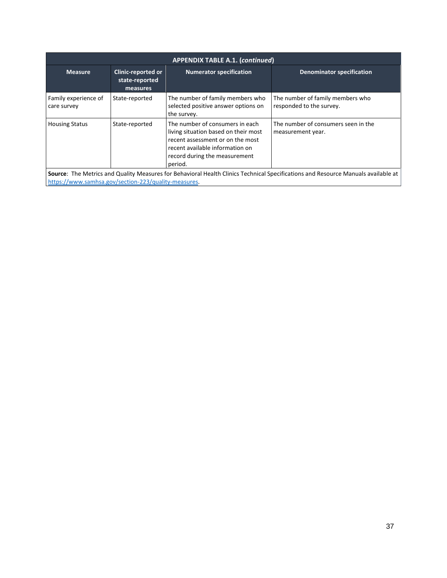|                                                      |                                                                | <b>APPENDIX TABLE A.1. (continued)</b>                                                                                                                                                     |                                                                                                                                   |
|------------------------------------------------------|----------------------------------------------------------------|--------------------------------------------------------------------------------------------------------------------------------------------------------------------------------------------|-----------------------------------------------------------------------------------------------------------------------------------|
| <b>Measure</b>                                       | <b>Clinic-reported or</b><br>state-reported<br><b>measures</b> | <b>Numerator specification</b>                                                                                                                                                             | <b>Denominator specification</b>                                                                                                  |
| Family experience of<br>care survey                  | State-reported                                                 | The number of family members who<br>selected positive answer options on<br>the survey.                                                                                                     | The number of family members who<br>responded to the survey.                                                                      |
| <b>Housing Status</b>                                | State-reported                                                 | The number of consumers in each<br>living situation based on their most<br>recent assessment or on the most<br>recent available information on<br>record during the measurement<br>period. | The number of consumers seen in the<br>measurement year.                                                                          |
| https://www.samhsa.gov/section-223/quality-measures. |                                                                |                                                                                                                                                                                            | Source: The Metrics and Quality Measures for Behavioral Health Clinics Technical Specifications and Resource Manuals available at |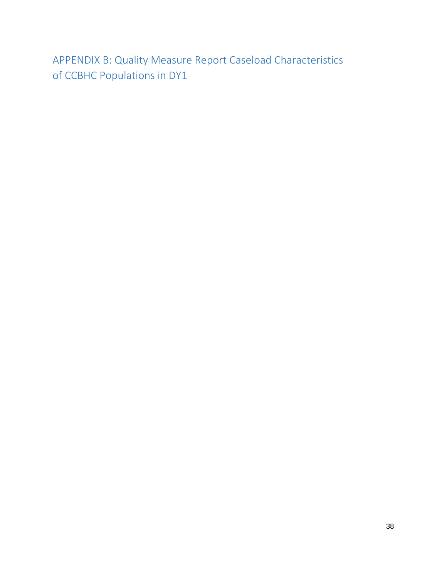APPENDIX B: Quality Measure Report Caseload Characteristics of CCBHC Populations in DY1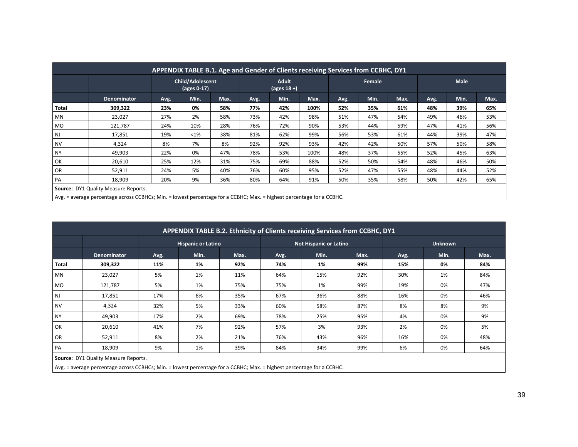|           | APPENDIX TABLE B.1. Age and Gender of Clients receiving Services from CCBHC, DY1          |      |                                        |      |      |                         |      |      |        |      |      |      |      |  |  |
|-----------|-------------------------------------------------------------------------------------------|------|----------------------------------------|------|------|-------------------------|------|------|--------|------|------|------|------|--|--|
|           |                                                                                           |      | Child/Adolescent<br>$\sqrt{ages 0-17}$ |      |      | Adult<br>(ages $18 +$ ) |      |      | Female |      |      | Male |      |  |  |
|           | Denominator                                                                               | Avg. | Min.                                   | Max. | Avg. | Min.                    | Max. | Avg. | Min.   | Max. | Avg. | Min. | Max. |  |  |
| Total     | 309,322                                                                                   | 23%  | 0%                                     | 58%  | 77%  | 42%                     | 100% | 52%  | 35%    | 61%  | 48%  | 39%  | 65%  |  |  |
| ΜN        | 23,027                                                                                    | 27%  | 2%                                     | 58%  | 73%  | 42%                     | 98%  | 51%  | 47%    | 54%  | 49%  | 46%  | 53%  |  |  |
| MO        | 121,787                                                                                   | 24%  | 10%                                    | 28%  | 76%  | 72%                     | 90%  | 53%  | 44%    | 59%  | 47%  | 41%  | 56%  |  |  |
| NJ        | 17,851                                                                                    | 19%  | $<$ 1%                                 | 38%  | 81%  | 62%                     | 99%  | 56%  | 53%    | 61%  | 44%  | 39%  | 47%  |  |  |
| <b>NV</b> | 4,324                                                                                     | 8%   | 7%                                     | 8%   | 92%  | 92%                     | 93%  | 42%  | 42%    | 50%  | 57%  | 50%  | 58%  |  |  |
| <b>NY</b> | 49,903                                                                                    | 22%  | 0%                                     | 47%  | 78%  | 53%                     | 100% | 48%  | 37%    | 55%  | 52%  | 45%  | 63%  |  |  |
| OK        | 20,610                                                                                    | 25%  | 12%                                    | 31%  | 75%  | 69%                     | 88%  | 52%  | 50%    | 54%  | 48%  | 46%  | 50%  |  |  |
| OR        | 52,911                                                                                    | 24%  | 5%                                     | 40%  | 76%  | 60%                     | 95%  | 52%  | 47%    | 55%  | 48%  | 44%  | 52%  |  |  |
| PA        | 9%<br>36%<br>80%<br>35%<br>65%<br>18,909<br>20%<br>64%<br>91%<br>50%<br>58%<br>50%<br>42% |      |                                        |      |      |                         |      |      |        |      |      |      |      |  |  |
|           | <b>Source: DY1 Quality Measure Reports.</b>                                               |      |                                        |      |      |                         |      |      |        |      |      |      |      |  |  |

Avg. = average percentage across CCBHCs; Min. = lowest percentage for a CCBHC; Max. = highest percentage for a CCBHC.

|              |                    |      |                           |      |      | APPENDIX TABLE B.2. Ethnicity of Clients receiving Services from CCBHC, DY1 |      |      |                |      |
|--------------|--------------------|------|---------------------------|------|------|-----------------------------------------------------------------------------|------|------|----------------|------|
|              |                    |      | <b>Hispanic or Latino</b> |      |      | <b>Not Hispanic or Latino</b>                                               |      |      | <b>Unknown</b> |      |
|              | <b>Denominator</b> | Avg. | Min.                      | Max. | Avg. | Min.                                                                        | Max. | Avg. | Min.           | Max. |
| <b>Total</b> | 309,322            | 11%  | 1%                        | 92%  | 74%  | 1%                                                                          | 99%  | 15%  | 0%             | 84%  |
| <b>MN</b>    | 23,027             | 5%   | 1%                        | 11%  | 64%  | 15%                                                                         | 92%  | 30%  | 1%             | 84%  |
| <b>MO</b>    | 121,787            | 5%   | 1%                        | 75%  | 75%  | 1%                                                                          | 99%  | 19%  | 0%             | 47%  |
| <b>NJ</b>    | 17,851             | 17%  | 6%                        | 35%  | 67%  | 36%                                                                         | 88%  | 16%  | 0%             | 46%  |
| <b>NV</b>    | 4,324              | 32%  | 5%                        | 33%  | 60%  | 58%                                                                         | 87%  | 8%   | 8%             | 9%   |
| <b>NY</b>    | 49,903             | 17%  | 2%                        | 69%  | 78%  | 25%                                                                         | 95%  | 4%   | 0%             | 9%   |
| OK           | 20,610             | 41%  | 7%                        | 92%  | 57%  | 3%                                                                          | 93%  | 2%   | 0%             | 5%   |
| <b>OR</b>    | 52,911             | 8%   | 2%                        | 21%  | 76%  | 43%                                                                         | 96%  | 16%  | 0%             | 48%  |
| PA           | 18,909             | 9%   | 1%                        | 39%  | 84%  | 34%                                                                         | 99%  | 6%   | 0%             | 64%  |

**Source**: DY1 Quality Measure Reports.

Avg. = average percentage across CCBHCs; Min. = lowest percentage for a CCBHC; Max. = highest percentage for a CCBHC.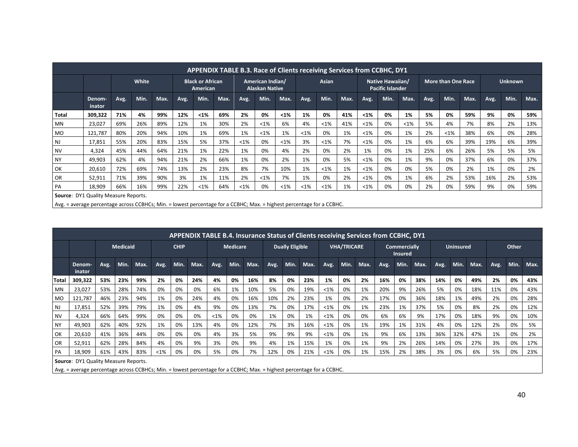|           |                                                                                                                                                                      |      |       |      |      | APPENDIX TABLE B.3. Race of Clients receiving Services from CCBHC, DY1 |      |        |                                           |        |         |       |      |         |                                             |         |      |                           |      |      |                |      |
|-----------|----------------------------------------------------------------------------------------------------------------------------------------------------------------------|------|-------|------|------|------------------------------------------------------------------------|------|--------|-------------------------------------------|--------|---------|-------|------|---------|---------------------------------------------|---------|------|---------------------------|------|------|----------------|------|
|           |                                                                                                                                                                      |      | White |      |      | <b>Black or African</b><br>American                                    |      |        | American Indian/<br><b>Alaskan Native</b> |        |         | Asian |      |         | Native Hawaiian/<br><b>Pacific Islander</b> |         |      | <b>More than One Race</b> |      |      | <b>Unknown</b> |      |
|           | Denom-<br>inator                                                                                                                                                     | Avg. | Min.  | Max. | Avg. | Min.                                                                   | Max. | Avg.   | Min.                                      | Max.   | Avg.    | Min.  | Max. | Avg.    | Min.                                        | Max.    | Avg. | Min.                      | Max. | Avg. | Min.           | Max. |
| Total     | 309,322                                                                                                                                                              | 71%  | 4%    | 99%  | 12%  | $1%$                                                                   | 69%  | 2%     | 0%                                        | $1%$   | 1%      | 0%    | 41%  | $1%$    | 0%                                          | 1%      | 5%   | 0%                        | 59%  | 9%   | 0%             | 59%  |
| MN        | 23,027                                                                                                                                                               | 69%  | 26%   | 89%  | 12%  | 1%                                                                     | 30%  | 2%     | $<$ 1%                                    | 6%     | 4%      | <1%   | 41%  | $< 1\%$ | 0%                                          | $< 1\%$ | 5%   | 4%                        | 7%   | 8%   | 2%             | 13%  |
| <b>MO</b> | 121,787                                                                                                                                                              | 80%  | 20%   | 94%  | 10%  | 1%                                                                     | 69%  | 1%     | $<$ 1%                                    | 1%     | $< 1\%$ | 0%    | 1%   | <1%     | 0%                                          | 1%      | 2%   | $< 1\%$                   | 38%  | 6%   | 0%             | 28%  |
| <b>NJ</b> | 17,851                                                                                                                                                               | 55%  | 20%   | 83%  | 15%  | 5%                                                                     | 37%  | $<1\%$ | 0%                                        | $<$ 1% | 3%      | <1%   | 7%   | $< 1\%$ | 0%                                          | 1%      | 6%   | 6%                        | 39%  | 19%  | 6%             | 39%  |
| <b>NV</b> | 4,324                                                                                                                                                                | 45%  | 44%   | 64%  | 21%  | 1%                                                                     | 22%  | 1%     | 0%                                        | 4%     | 2%      | 0%    | 2%   | 1%      | 0%                                          | 1%      | 25%  | 6%                        | 26%  | 5%   | 5%             | 5%   |
| <b>NY</b> | 49,903                                                                                                                                                               | 62%  | 4%    | 94%  | 21%  | 2%                                                                     | 66%  | 1%     | 0%                                        | 2%     | 1%      | 0%    | 5%   | <1%     | 0%                                          | 1%      | 9%   | 0%                        | 37%  | 6%   | 0%             | 37%  |
| OK        | 20,610                                                                                                                                                               | 72%  | 69%   | 74%  | 13%  | 2%                                                                     | 23%  | 8%     | 7%                                        | 10%    | 1%      | <1%   | 1%   | <1%     | 0%                                          | 0%      | 5%   | 0%                        | 2%   | 1%   | 0%             | 2%   |
| OR        | 52,911                                                                                                                                                               | 71%  | 39%   | 90%  | 3%   | 1%                                                                     | 11%  | 2%     | $<$ 1%                                    | 7%     | 1%      | 0%    | 2%   | $< 1\%$ | 0%                                          | 1%      | 6%   | 2%                        | 53%  | 16%  | 2%             | 53%  |
| PA        | 66%<br>16%<br>99%<br>22%<br>$< 1\%$<br>$<1\%$<br>0%<br>$< 1\%$<br><1%<br>1%<br>2%<br>59%<br>9%<br>0%<br>18,909<br>64%<br>$<1\%$<br>$< 1\%$<br>0%<br>0%<br>0%<br>59%  |      |       |      |      |                                                                        |      |        |                                           |        |         |       |      |         |                                             |         |      |                           |      |      |                |      |
|           | <b>Source: DY1 Quality Measure Reports.</b><br>Avg. = average percentage across CCBHCs; Min. = lowest percentage for a CCBHC; Max. = highest percentage for a CCBHC. |      |       |      |      |                                                                        |      |        |                                           |        |         |       |      |         |                                             |         |      |                           |      |      |                |      |

|           |                                             |      |                 |      |        |             |      |         |                 |      |      |                        |      |         |                    | <b>APPENDIX TABLE B.4. Insurance Status of Clients receiving Services from CCBHC, DY1</b> |      |                                       |      |      |                  |      |      |       |      |
|-----------|---------------------------------------------|------|-----------------|------|--------|-------------|------|---------|-----------------|------|------|------------------------|------|---------|--------------------|-------------------------------------------------------------------------------------------|------|---------------------------------------|------|------|------------------|------|------|-------|------|
|           |                                             |      | <b>Medicaid</b> |      |        | <b>CHIP</b> |      |         | <b>Medicare</b> |      |      | <b>Dually Eligible</b> |      |         | <b>VHA/TRICARE</b> |                                                                                           |      | <b>Commercially</b><br><b>Insured</b> |      |      | <b>Uninsured</b> |      |      | Other |      |
|           | Denom-<br>inator                            | Avg. | Min.            | Max. | Avg.   | Min.        | Max. | Avg.    | Min.            | Max. | Avg. | Min.                   | Max. | Avg.    | Min.               | Max.                                                                                      | Avg. | Min.                                  | Max. | Avg. | Min.             | Max. | Avg. | Min.  | Max. |
| Total     | 309,322                                     | 53%  | 23%             | 99%  | 2%     | 0%          | 24%  | 4%      | 0%              | 16%  | 8%   | 0%                     | 23%  | 1%      | 0%                 | 2%                                                                                        | 16%  | 0%                                    | 38%  | 14%  | 0%               | 49%  | 2%   | 0%    | 43%  |
| <b>MN</b> | 23,027                                      | 53%  | 28%             | 74%  | 0%     | 0%          | 0%   | 6%      | 1%              | 10%  | 5%   | 0%                     | 19%  | $< 1\%$ | 0%                 | 1%                                                                                        | 20%  | 9%                                    | 26%  | 5%   | 0%               | 18%  | 11%  | 0%    | 43%  |
| <b>MO</b> | 121,787                                     | 46%  | 23%             | 94%  | 1%     | 0%          | 24%  | 4%      | 0%              | 16%  | 10%  | 2%                     | 23%  | 1%      | 0%                 | 2%                                                                                        | 17%  | 0%                                    | 36%  | 18%  | 1%               | 49%  | 2%   | 0%    | 28%  |
| NJ        | 17,851                                      | 52%  | 39%             | 79%  | 1%     | 0%          | 4%   | 9%      | 0%              | 13%  | 7%   | 0%                     | 17%  | $< 1\%$ | 0%                 | 1%                                                                                        | 23%  | 1%                                    | 37%  | 5%   | 0%               | 8%   | 2%   | 0%    | 12%  |
| <b>NV</b> | 4,324                                       | 66%  | 64%             | 99%  | 0%     | 0%          | 0%   | $< 1\%$ | 0%              | 0%   | 1%   | 0%                     | 1%   | $< 1\%$ | 0%                 | 0%                                                                                        | 6%   | 6%                                    | 9%   | 17%  | 0%               | 18%  | 9%   | 0%    | 10%  |
| <b>NY</b> | 49,903                                      | 62%  | 40%             | 92%  | 1%     | 0%          | 13%  | 4%      | 0%              | 12%  | 7%   | 3%                     | 16%  | $< 1\%$ | 0%                 | 1%                                                                                        | 19%  | 1%                                    | 31%  | 4%   | 0%               | 12%  | 2%   | 0%    | 5%   |
| OK        | 20,610                                      | 41%  | 36%             | 44%  | 0%     | 0%          | 0%   | 4%      | 3%              | 5%   | 9%   | 9%                     | 9%   | $< 1\%$ | 0%                 | 1%                                                                                        | 9%   | 6%                                    | 13%  | 36%  | 32%              | 47%  | 1%   | 0%    | 2%   |
| OR        | 52,911                                      | 62%  | 28%             | 84%  | 4%     | 0%          | 9%   | 3%      | 0%              | 9%   | 4%   | 1%                     | 15%  | 1%      | 0%                 | 1%                                                                                        | 9%   | 2%                                    | 26%  | 14%  | 0%               | 27%  | 3%   | 0%    | 17%  |
| PA        | 18,909                                      | 61%  | 43%             | 83%  | $<$ 1% | 0%          | 0%   | 5%      | 0%              | 7%   | 12%  | 0%                     | 21%  | <1%     | 0%                 | 1%                                                                                        | 15%  | 2%                                    | 38%  | 3%   | 0%               | 6%   | 5%   | 0%    | 23%  |
|           | <b>Source: DY1 Quality Measure Reports.</b> |      |                 |      |        |             |      |         |                 |      |      |                        |      |         |                    |                                                                                           |      |                                       |      |      |                  |      |      |       |      |

Avg. = average percentage across CCBHCs; Min. = lowest percentage for a CCBHC; Max. = highest percentage for a CCBHC.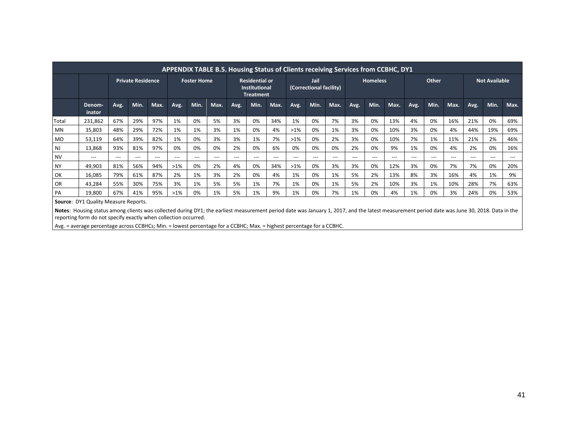|           |                                      |                         |                          |       |        |                    | <b>APPENDIX TABLE B.5. Housing Status of Clients receiving Services from CCBHC, DY1</b> |      |                                                                   |       |        |                                 |      |      |                 |       |       |       |       |                      |      |      |
|-----------|--------------------------------------|-------------------------|--------------------------|-------|--------|--------------------|-----------------------------------------------------------------------------------------|------|-------------------------------------------------------------------|-------|--------|---------------------------------|------|------|-----------------|-------|-------|-------|-------|----------------------|------|------|
|           |                                      |                         | <b>Private Residence</b> |       |        | <b>Foster Home</b> |                                                                                         |      | <b>Residential or</b><br><b>Institutional</b><br><b>Treatment</b> |       |        | Jail<br>(Correctional facility) |      |      | <b>Homeless</b> |       | Other |       |       | <b>Not Available</b> |      |      |
|           | Denom-<br>inator                     | Avg.                    | Min.                     | Max.  | Avg.   | Min.               | Max.                                                                                    | Avg. | Min.                                                              | Max.  | Avg.   | Min.                            | Max. | Avg. | Min.            | Max.  | Avg.  | Min.  | Max.  | Avg.                 | Min. | Max. |
| Total     | 231,862                              | 67%                     | 29%                      | 97%   | 1%     | 0%                 | 5%                                                                                      | 3%   | 0%                                                                | 34%   | 1%     | 0%                              | 7%   | 3%   | 0%              | 13%   | 4%    | 0%    | 16%   | 21%                  | 0%   | 69%  |
| MN        | 35,803                               | 48%                     | 29%                      | 72%   | 1%     | 1%                 | 3%                                                                                      | 1%   | 0%                                                                | 4%    | $>1\%$ | 0%                              | 1%   | 3%   | 0%              | 10%   | 3%    | 0%    | 4%    | 44%                  | 19%  | 69%  |
| <b>MO</b> | 53,119                               | 64%                     | 39%                      | 82%   | 1%     | 0%                 | 3%                                                                                      | 3%   | 1%                                                                | 7%    | $>1\%$ | 0%                              | 2%   | 3%   | 0%              | 10%   | 7%    | 1%    | 11%   | 21%                  | 2%   | 46%  |
| NJ        | 13,868                               | 93%                     | 81%                      | 97%   | 0%     | 0%                 | 0%                                                                                      | 2%   | 0%                                                                | 6%    | 0%     | 0%                              | 0%   | 2%   | 0%              | 9%    | 1%    | 0%    | 4%    | 2%                   | 0%   | 16%  |
| <b>NV</b> | ---                                  | $\qquad \qquad -\qquad$ | ---                      | $---$ | $---$  | $---$              | ---                                                                                     | ---  | $---$                                                             | $---$ | $---$  | $---$                           | ---  | ---  | ---             | $---$ | ---   | $---$ | $---$ | ---                  | ---  | ---  |
| <b>NY</b> | 49,903                               | 81%                     | 56%                      | 94%   | $>1\%$ | 0%                 | 2%                                                                                      | 4%   | 0%                                                                | 34%   | $>1\%$ | 0%                              | 3%   | 3%   | 0%              | 12%   | 3%    | 0%    | 7%    | 7%                   | 0%   | 20%  |
| OK        | 16,085                               | 79%                     | 61%                      | 87%   | 2%     | 1%                 | 3%                                                                                      | 2%   | 0%                                                                | 4%    | 1%     | 0%                              | 1%   | 5%   | 2%              | 13%   | 8%    | 3%    | 16%   | 4%                   | 1%   | 9%   |
| OR        | 43,284                               | 55%                     | 30%                      | 75%   | 3%     | 1%                 | 5%                                                                                      | 5%   | 1%                                                                | 7%    | 1%     | 0%                              | 1%   | 5%   | 2%              | 10%   | 3%    | 1%    | 10%   | 28%                  | 7%   | 63%  |
| PA        | 19,800                               | 67%                     | 41%                      | 95%   | $>1\%$ | 0%                 | 1%                                                                                      | 5%   | 1%                                                                | 9%    | 1%     | 0%                              | 7%   | 1%   | 0%              | 4%    | 1%    | 0%    | 3%    | 24%                  | 0%   | 53%  |
|           | Source: DY1 Quality Measure Reports. |                         |                          |       |        |                    |                                                                                         |      |                                                                   |       |        |                                 |      |      |                 |       |       |       |       |                      |      |      |

Notes: Housing status among clients was collected during DY1; the earliest measurement period date was January 1, 2017, and the latest measurement period date was June 30, 2018. Data in the reporting form do not specify exactly when collection occurred.

Avg. = average percentage across CCBHCs; Min. = lowest percentage for a CCBHC; Max. = highest percentage for a CCBHC.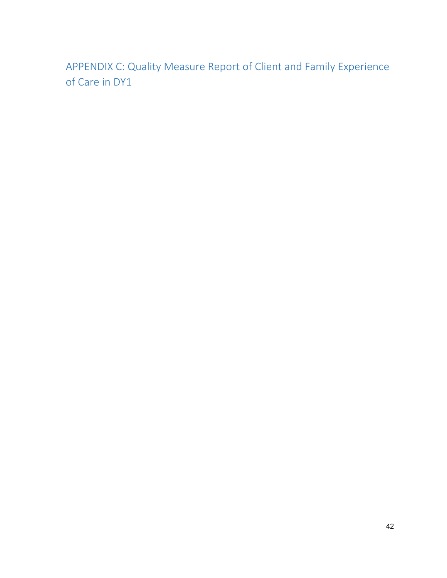APPENDIX C: Quality Measure Report of Client and Family Experience of Care in DY1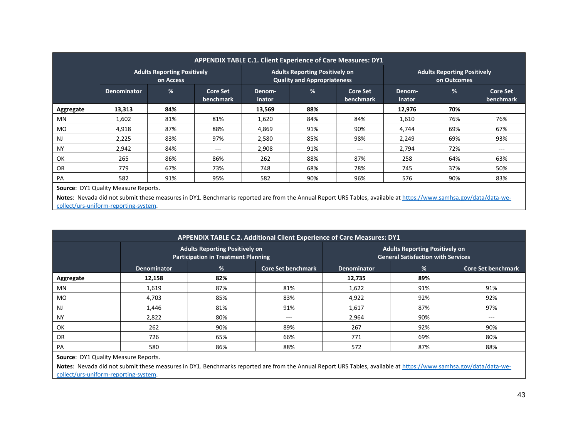|           |                    |                                                 |                              |                  |                                                                             | <b>APPENDIX TABLE C.1. Client Experience of Care Measures: DY1</b> |                  |                                                   |                              |
|-----------|--------------------|-------------------------------------------------|------------------------------|------------------|-----------------------------------------------------------------------------|--------------------------------------------------------------------|------------------|---------------------------------------------------|------------------------------|
|           |                    | <b>Adults Reporting Positively</b><br>on Access |                              |                  | <b>Adults Reporting Positively on</b><br><b>Quality and Appropriateness</b> |                                                                    |                  | <b>Adults Reporting Positively</b><br>on Outcomes |                              |
|           | <b>Denominator</b> | %                                               | <b>Core Set</b><br>benchmark | Denom-<br>inator | %                                                                           | <b>Core Set</b><br>benchmark                                       | Denom-<br>inator | %                                                 | <b>Core Set</b><br>benchmark |
| Aggregate | 13,313             | 84%                                             |                              | 13,569           | 88%                                                                         |                                                                    | 12,976           | 70%                                               |                              |
| MN.       | 1,602              | 81%                                             | 81%                          | 1,620            | 84%                                                                         | 84%                                                                | 1,610            | 76%                                               | 76%                          |
| <b>MO</b> | 4,918              | 87%                                             | 88%                          | 4,869            | 91%                                                                         | 90%                                                                | 4,744            | 69%                                               | 67%                          |
| <b>NJ</b> | 2,225              | 83%                                             | 97%                          | 2,580            | 85%                                                                         | 98%                                                                | 2,249            | 69%                                               | 93%                          |
| <b>NY</b> | 2,942              | 84%                                             | ---                          | 2,908            | 91%                                                                         | $---$                                                              | 2,794            | 72%                                               | $---$                        |
| OK        | 265                | 86%                                             | 86%                          | 262              | 88%                                                                         | 87%                                                                | 258              | 64%                                               | 63%                          |
| <b>OR</b> | 779                | 67%                                             | 73%                          | 748              | 68%                                                                         | 78%                                                                | 745              | 37%                                               | 50%                          |
| PA        | 582                | 91%                                             | 95%                          | 582              | 90%                                                                         | 96%                                                                | 576              | 90%                                               | 83%                          |

**Source**: DY1 Quality Measure Reports.

Notes: Nevada did not submit these measures in DY1. Benchmarks reported are from the Annual Report URS Tables, available a[t https://www.samhsa.gov/data/data-we](https://www.samhsa.gov/data/data-we-collect/urs-uniform-reporting-system)[collect/urs-uniform-reporting-system.](https://www.samhsa.gov/data/data-we-collect/urs-uniform-reporting-system)

|           |                    |                                                                                     | APPENDIX TABLE C.2. Additional Client Experience of Care Measures: DY1 |                    |                                                                                    |                           |
|-----------|--------------------|-------------------------------------------------------------------------------------|------------------------------------------------------------------------|--------------------|------------------------------------------------------------------------------------|---------------------------|
|           |                    | <b>Adults Reporting Positively on</b><br><b>Participation in Treatment Planning</b> |                                                                        |                    | <b>Adults Reporting Positively on</b><br><b>General Satisfaction with Services</b> |                           |
|           | <b>Denominator</b> | %                                                                                   | <b>Core Set benchmark</b>                                              | <b>Denominator</b> | $\frac{9}{6}$                                                                      | <b>Core Set benchmark</b> |
| Aggregate | 12,158             | 82%                                                                                 |                                                                        | 12,735             | 89%                                                                                |                           |
| MN        | 1,619              | 87%                                                                                 | 81%                                                                    | 1,622              | 91%                                                                                | 91%                       |
| MO.       | 4.703              | 85%                                                                                 | 83%                                                                    | 4,922              | 92%                                                                                | 92%                       |
| <b>NJ</b> | 1,446              | 81%                                                                                 | 91%                                                                    | 1,617              | 87%                                                                                | 97%                       |
| <b>NY</b> | 2,822              | 80%                                                                                 | $---$                                                                  | 2,964              | 90%                                                                                | ---                       |
| OK        | 262                | 90%                                                                                 | 89%                                                                    | 267                | 92%                                                                                | 90%                       |
| OR        | 726                | 65%                                                                                 | 66%                                                                    | 771                | 69%                                                                                | 80%                       |
| PA        | 580                | 86%                                                                                 | 88%                                                                    | 572                | 87%                                                                                | 88%                       |

**Source: DY1 Quality Measure Reports.** 

**Notes**: Nevada did not submit these measures in DY1. Benchmarks reported are from the Annual Report URS Tables, available at [https://www.samhsa.gov/data/data-we](https://www.samhsa.gov/data/data-we-collect/urs-uniform-reporting-system)[collect/urs-uniform-reporting-system.](https://www.samhsa.gov/data/data-we-collect/urs-uniform-reporting-system)